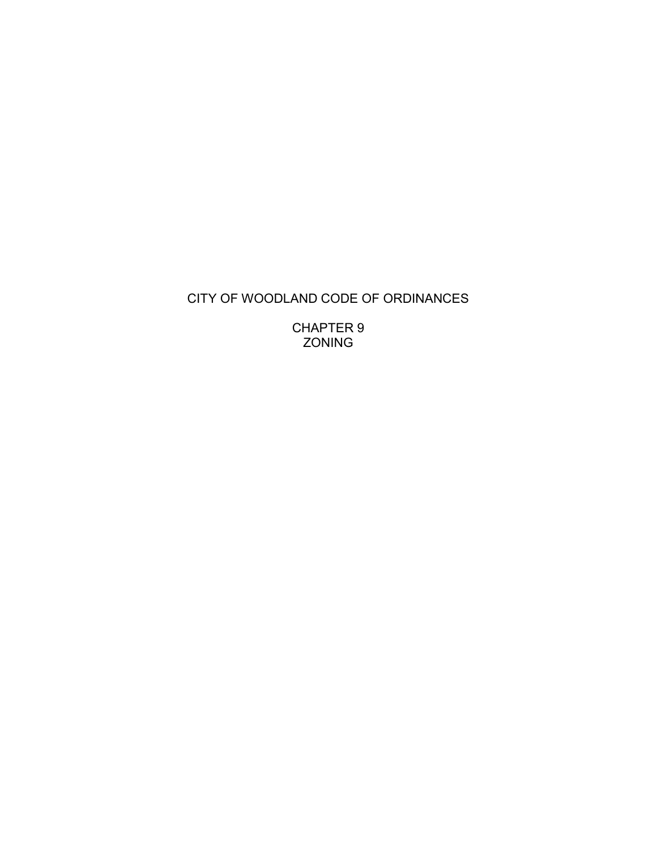# CITY OF WOODLAND CODE OF ORDINANCES

CHAPTER 9 ZONING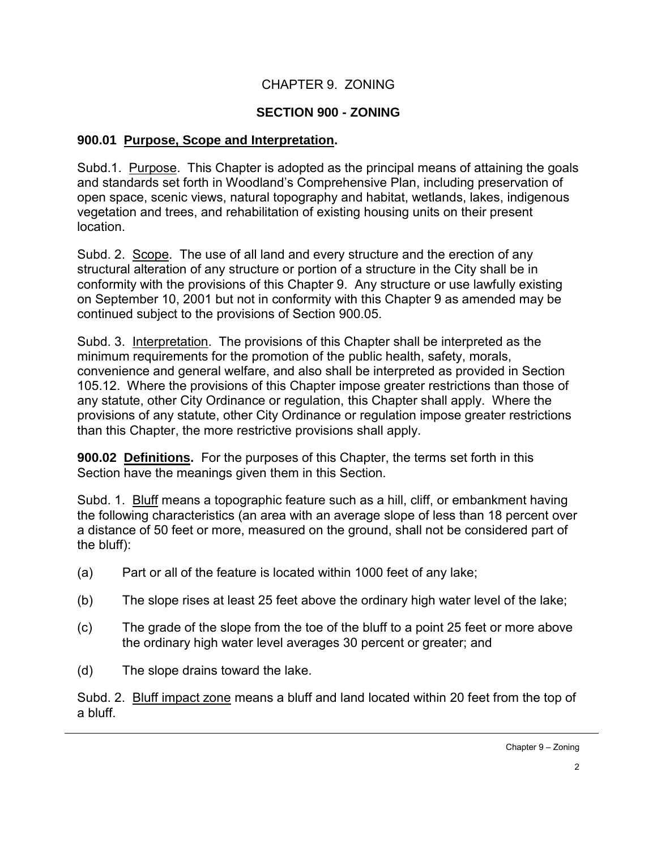## CHAPTER 9. ZONING

#### **SECTION 900 - ZONING**

#### **900.01 Purpose, Scope and Interpretation.**

Subd.1. Purpose. This Chapter is adopted as the principal means of attaining the goals and standards set forth in Woodland's Comprehensive Plan, including preservation of open space, scenic views, natural topography and habitat, wetlands, lakes, indigenous vegetation and trees, and rehabilitation of existing housing units on their present location.

Subd. 2. Scope. The use of all land and every structure and the erection of any structural alteration of any structure or portion of a structure in the City shall be in conformity with the provisions of this Chapter 9. Any structure or use lawfully existing on September 10, 2001 but not in conformity with this Chapter 9 as amended may be continued subject to the provisions of Section 900.05.

Subd. 3. Interpretation. The provisions of this Chapter shall be interpreted as the minimum requirements for the promotion of the public health, safety, morals, convenience and general welfare, and also shall be interpreted as provided in Section 105.12. Where the provisions of this Chapter impose greater restrictions than those of any statute, other City Ordinance or regulation, this Chapter shall apply. Where the provisions of any statute, other City Ordinance or regulation impose greater restrictions than this Chapter, the more restrictive provisions shall apply.

**900.02 Definitions.** For the purposes of this Chapter, the terms set forth in this Section have the meanings given them in this Section.

Subd. 1. Bluff means a topographic feature such as a hill, cliff, or embankment having the following characteristics (an area with an average slope of less than 18 percent over a distance of 50 feet or more, measured on the ground, shall not be considered part of the bluff):

- (a) Part or all of the feature is located within 1000 feet of any lake;
- (b) The slope rises at least 25 feet above the ordinary high water level of the lake;
- (c) The grade of the slope from the toe of the bluff to a point 25 feet or more above the ordinary high water level averages 30 percent or greater; and
- (d) The slope drains toward the lake.

Subd. 2. Bluff impact zone means a bluff and land located within 20 feet from the top of a bluff.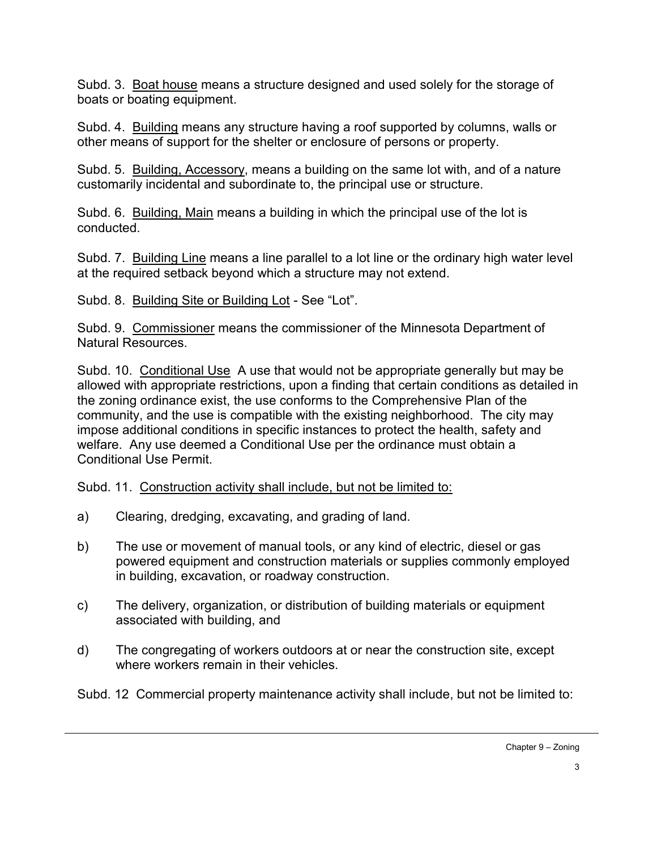Subd. 3. Boat house means a structure designed and used solely for the storage of boats or boating equipment.

Subd. 4. Building means any structure having a roof supported by columns, walls or other means of support for the shelter or enclosure of persons or property.

Subd. 5. Building, Accessory, means a building on the same lot with, and of a nature customarily incidental and subordinate to, the principal use or structure.

Subd. 6. Building, Main means a building in which the principal use of the lot is conducted.

Subd. 7. Building Line means a line parallel to a lot line or the ordinary high water level at the required setback beyond which a structure may not extend.

Subd. 8. Building Site or Building Lot - See "Lot".

Subd. 9. Commissioner means the commissioner of the Minnesota Department of Natural Resources.

Subd. 10. Conditional Use A use that would not be appropriate generally but may be allowed with appropriate restrictions, upon a finding that certain conditions as detailed in the zoning ordinance exist, the use conforms to the Comprehensive Plan of the community, and the use is compatible with the existing neighborhood. The city may impose additional conditions in specific instances to protect the health, safety and welfare. Any use deemed a Conditional Use per the ordinance must obtain a Conditional Use Permit.

Subd. 11. Construction activity shall include, but not be limited to:

- a) Clearing, dredging, excavating, and grading of land.
- b) The use or movement of manual tools, or any kind of electric, diesel or gas powered equipment and construction materials or supplies commonly employed in building, excavation, or roadway construction.
- c) The delivery, organization, or distribution of building materials or equipment associated with building, and
- d) The congregating of workers outdoors at or near the construction site, except where workers remain in their vehicles.

Subd. 12 Commercial property maintenance activity shall include, but not be limited to: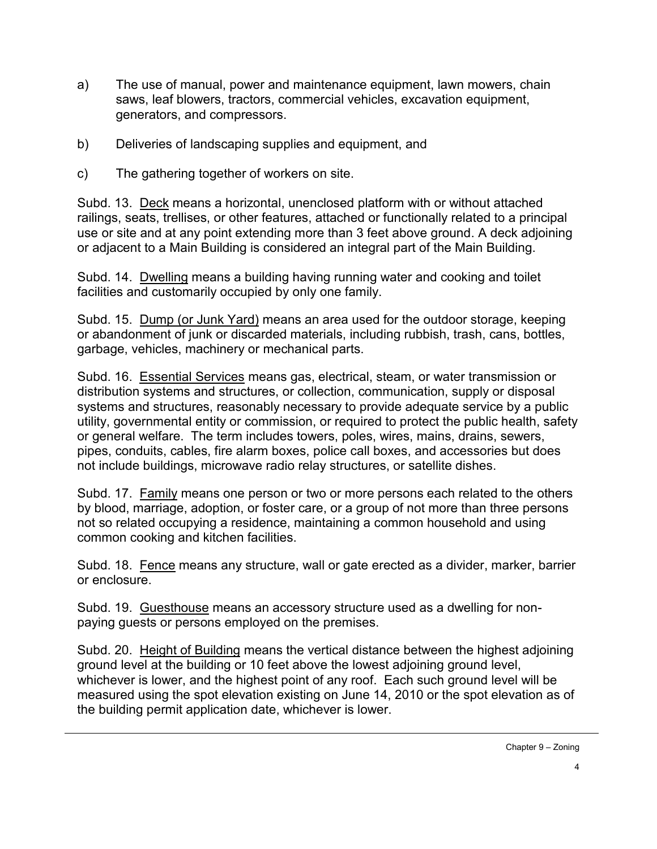- a) The use of manual, power and maintenance equipment, lawn mowers, chain saws, leaf blowers, tractors, commercial vehicles, excavation equipment, generators, and compressors.
- b) Deliveries of landscaping supplies and equipment, and
- c) The gathering together of workers on site.

Subd. 13. Deck means a horizontal, unenclosed platform with or without attached railings, seats, trellises, or other features, attached or functionally related to a principal use or site and at any point extending more than 3 feet above ground. A deck adjoining or adjacent to a Main Building is considered an integral part of the Main Building.

Subd. 14. Dwelling means a building having running water and cooking and toilet facilities and customarily occupied by only one family.

Subd. 15. Dump (or Junk Yard) means an area used for the outdoor storage, keeping or abandonment of junk or discarded materials, including rubbish, trash, cans, bottles, garbage, vehicles, machinery or mechanical parts.

Subd. 16. Essential Services means gas, electrical, steam, or water transmission or distribution systems and structures, or collection, communication, supply or disposal systems and structures, reasonably necessary to provide adequate service by a public utility, governmental entity or commission, or required to protect the public health, safety or general welfare. The term includes towers, poles, wires, mains, drains, sewers, pipes, conduits, cables, fire alarm boxes, police call boxes, and accessories but does not include buildings, microwave radio relay structures, or satellite dishes.

Subd. 17. Family means one person or two or more persons each related to the others by blood, marriage, adoption, or foster care, or a group of not more than three persons not so related occupying a residence, maintaining a common household and using common cooking and kitchen facilities.

Subd. 18. Fence means any structure, wall or gate erected as a divider, marker, barrier or enclosure.

Subd. 19. Guesthouse means an accessory structure used as a dwelling for nonpaying guests or persons employed on the premises.

Subd. 20. Height of Building means the vertical distance between the highest adjoining ground level at the building or 10 feet above the lowest adjoining ground level, whichever is lower, and the highest point of any roof. Each such ground level will be measured using the spot elevation existing on June 14, 2010 or the spot elevation as of the building permit application date, whichever is lower.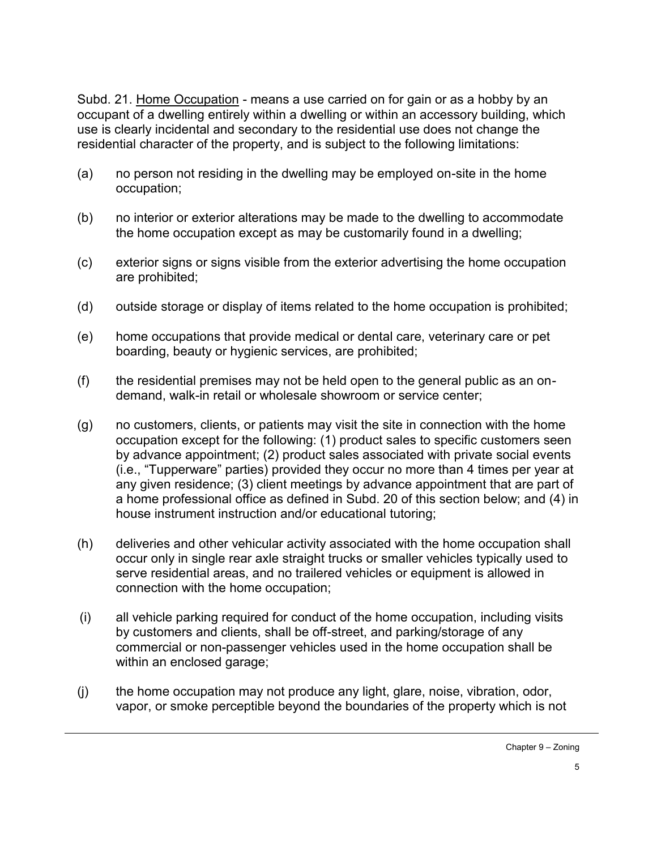Subd. 21. Home Occupation - means a use carried on for gain or as a hobby by an occupant of a dwelling entirely within a dwelling or within an accessory building, which use is clearly incidental and secondary to the residential use does not change the residential character of the property, and is subject to the following limitations:

- (a) no person not residing in the dwelling may be employed on-site in the home occupation;
- (b) no interior or exterior alterations may be made to the dwelling to accommodate the home occupation except as may be customarily found in a dwelling;
- (c) exterior signs or signs visible from the exterior advertising the home occupation are prohibited;
- (d) outside storage or display of items related to the home occupation is prohibited;
- (e) home occupations that provide medical or dental care, veterinary care or pet boarding, beauty or hygienic services, are prohibited;
- (f) the residential premises may not be held open to the general public as an ondemand, walk-in retail or wholesale showroom or service center;
- (g) no customers, clients, or patients may visit the site in connection with the home occupation except for the following: (1) product sales to specific customers seen by advance appointment; (2) product sales associated with private social events (i.e., "Tupperware" parties) provided they occur no more than 4 times per year at any given residence; (3) client meetings by advance appointment that are part of a home professional office as defined in Subd. 20 of this section below; and (4) in house instrument instruction and/or educational tutoring;
- (h) deliveries and other vehicular activity associated with the home occupation shall occur only in single rear axle straight trucks or smaller vehicles typically used to serve residential areas, and no trailered vehicles or equipment is allowed in connection with the home occupation;
- (i) all vehicle parking required for conduct of the home occupation, including visits by customers and clients, shall be off-street, and parking/storage of any commercial or non-passenger vehicles used in the home occupation shall be within an enclosed garage;
- (j) the home occupation may not produce any light, glare, noise, vibration, odor, vapor, or smoke perceptible beyond the boundaries of the property which is not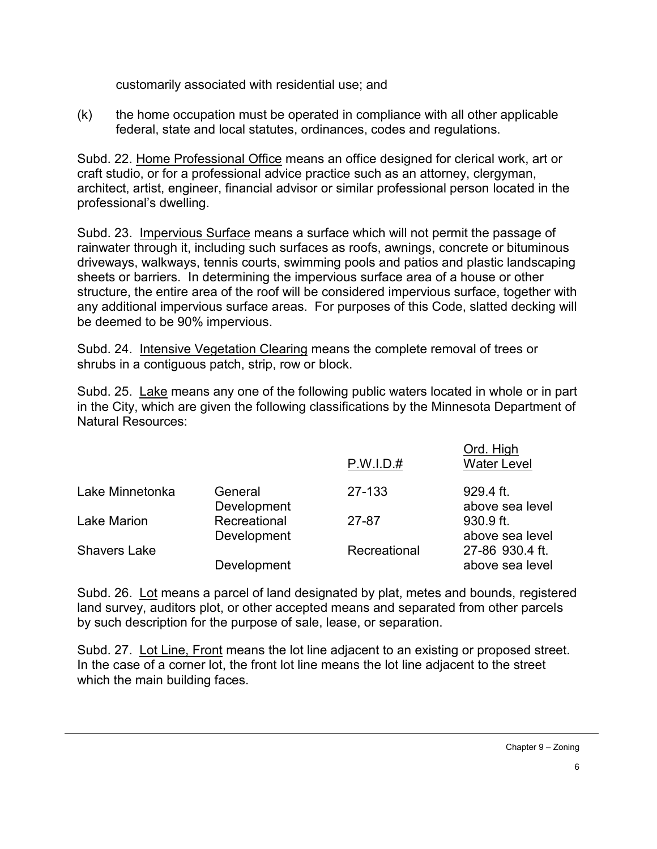customarily associated with residential use; and

 $(k)$  the home occupation must be operated in compliance with all other applicable federal, state and local statutes, ordinances, codes and regulations.

Subd. 22. Home Professional Office means an office designed for clerical work, art or craft studio, or for a professional advice practice such as an attorney, clergyman, architect, artist, engineer, financial advisor or similar professional person located in the professional's dwelling.

Subd. 23. Impervious Surface means a surface which will not permit the passage of rainwater through it, including such surfaces as roofs, awnings, concrete or bituminous driveways, walkways, tennis courts, swimming pools and patios and plastic landscaping sheets or barriers. In determining the impervious surface area of a house or other structure, the entire area of the roof will be considered impervious surface, together with any additional impervious surface areas. For purposes of this Code, slatted decking will be deemed to be 90% impervious.

Subd. 24. Intensive Vegetation Clearing means the complete removal of trees or shrubs in a contiguous patch, strip, row or block.

Subd. 25. Lake means any one of the following public waters located in whole or in part in the City, which are given the following classifications by the Minnesota Department of Natural Resources:

|                     |                             | P.W.I.D.#    | Ord. High<br><b>Water Level</b>    |
|---------------------|-----------------------------|--------------|------------------------------------|
| Lake Minnetonka     | General<br>Development      | 27-133       | 929.4 ft.<br>above sea level       |
| <b>Lake Marion</b>  | Recreational<br>Development | 27-87        | 930.9 ft.<br>above sea level       |
| <b>Shavers Lake</b> | Development                 | Recreational | 27-86 930.4 ft.<br>above sea level |

Subd. 26. Lot means a parcel of land designated by plat, metes and bounds, registered land survey, auditors plot, or other accepted means and separated from other parcels by such description for the purpose of sale, lease, or separation.

Subd. 27. Lot Line, Front means the lot line adjacent to an existing or proposed street. In the case of a corner lot, the front lot line means the lot line adjacent to the street which the main building faces.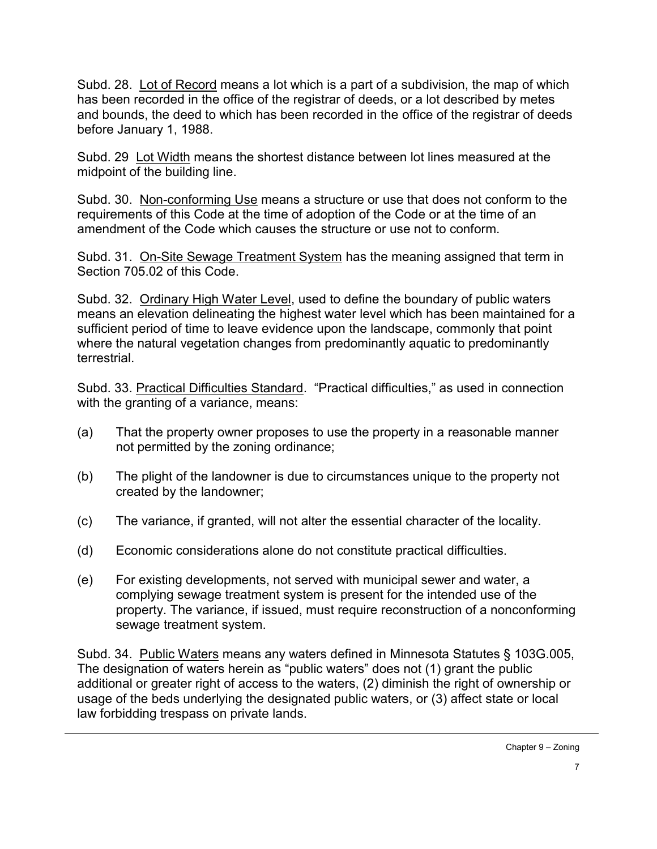Subd. 28. Lot of Record means a lot which is a part of a subdivision, the map of which has been recorded in the office of the registrar of deeds, or a lot described by metes and bounds, the deed to which has been recorded in the office of the registrar of deeds before January 1, 1988.

Subd. 29 Lot Width means the shortest distance between lot lines measured at the midpoint of the building line.

Subd. 30. Non-conforming Use means a structure or use that does not conform to the requirements of this Code at the time of adoption of the Code or at the time of an amendment of the Code which causes the structure or use not to conform.

Subd. 31. On-Site Sewage Treatment System has the meaning assigned that term in Section 705.02 of this Code.

Subd. 32. Ordinary High Water Level, used to define the boundary of public waters means an elevation delineating the highest water level which has been maintained for a sufficient period of time to leave evidence upon the landscape, commonly that point where the natural vegetation changes from predominantly aquatic to predominantly terrestrial.

Subd. 33. Practical Difficulties Standard. "Practical difficulties," as used in connection with the granting of a variance, means:

- (a) That the property owner proposes to use the property in a reasonable manner not permitted by the zoning ordinance;
- (b) The plight of the landowner is due to circumstances unique to the property not created by the landowner;
- (c) The variance, if granted, will not alter the essential character of the locality.
- (d) Economic considerations alone do not constitute practical difficulties.
- (e) For existing developments, not served with municipal sewer and water, a complying sewage treatment system is present for the intended use of the property. The variance, if issued, must require reconstruction of a nonconforming sewage treatment system.

Subd. 34. Public Waters means any waters defined in Minnesota Statutes § 103G.005, The designation of waters herein as "public waters" does not (1) grant the public additional or greater right of access to the waters, (2) diminish the right of ownership or usage of the beds underlying the designated public waters, or (3) affect state or local law forbidding trespass on private lands.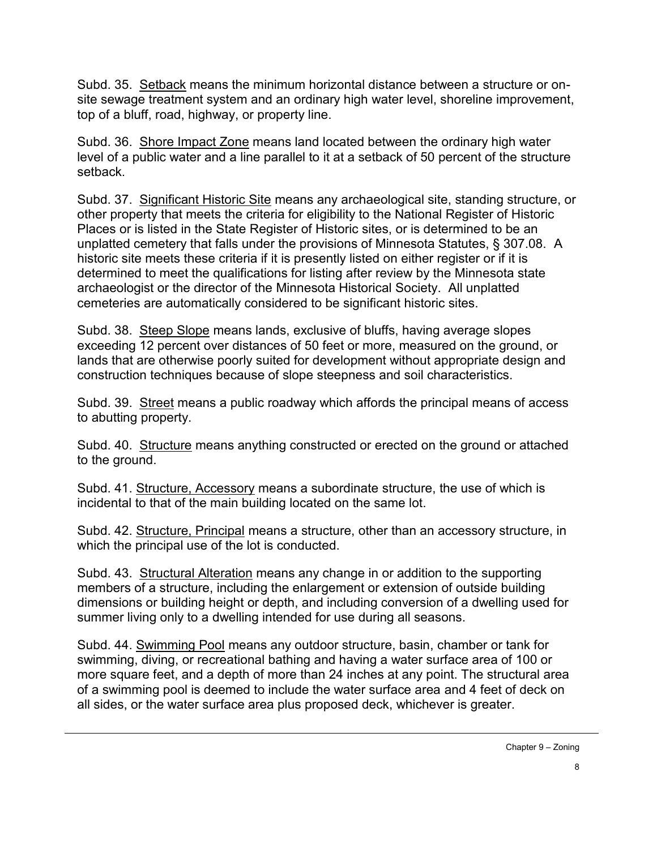Subd. 35. Setback means the minimum horizontal distance between a structure or onsite sewage treatment system and an ordinary high water level, shoreline improvement, top of a bluff, road, highway, or property line.

Subd. 36. Shore Impact Zone means land located between the ordinary high water level of a public water and a line parallel to it at a setback of 50 percent of the structure setback.

Subd. 37. Significant Historic Site means any archaeological site, standing structure, or other property that meets the criteria for eligibility to the National Register of Historic Places or is listed in the State Register of Historic sites, or is determined to be an unplatted cemetery that falls under the provisions of Minnesota Statutes, § 307.08. A historic site meets these criteria if it is presently listed on either register or if it is determined to meet the qualifications for listing after review by the Minnesota state archaeologist or the director of the Minnesota Historical Society. All unplatted cemeteries are automatically considered to be significant historic sites.

Subd. 38. Steep Slope means lands, exclusive of bluffs, having average slopes exceeding 12 percent over distances of 50 feet or more, measured on the ground, or lands that are otherwise poorly suited for development without appropriate design and construction techniques because of slope steepness and soil characteristics.

Subd. 39. Street means a public roadway which affords the principal means of access to abutting property.

Subd. 40. Structure means anything constructed or erected on the ground or attached to the ground.

Subd. 41. Structure, Accessory means a subordinate structure, the use of which is incidental to that of the main building located on the same lot.

Subd. 42. Structure, Principal means a structure, other than an accessory structure, in which the principal use of the lot is conducted.

Subd. 43. Structural Alteration means any change in or addition to the supporting members of a structure, including the enlargement or extension of outside building dimensions or building height or depth, and including conversion of a dwelling used for summer living only to a dwelling intended for use during all seasons.

Subd. 44. Swimming Pool means any outdoor structure, basin, chamber or tank for swimming, diving, or recreational bathing and having a water surface area of 100 or more square feet, and a depth of more than 24 inches at any point. The structural area of a swimming pool is deemed to include the water surface area and 4 feet of deck on all sides, or the water surface area plus proposed deck, whichever is greater.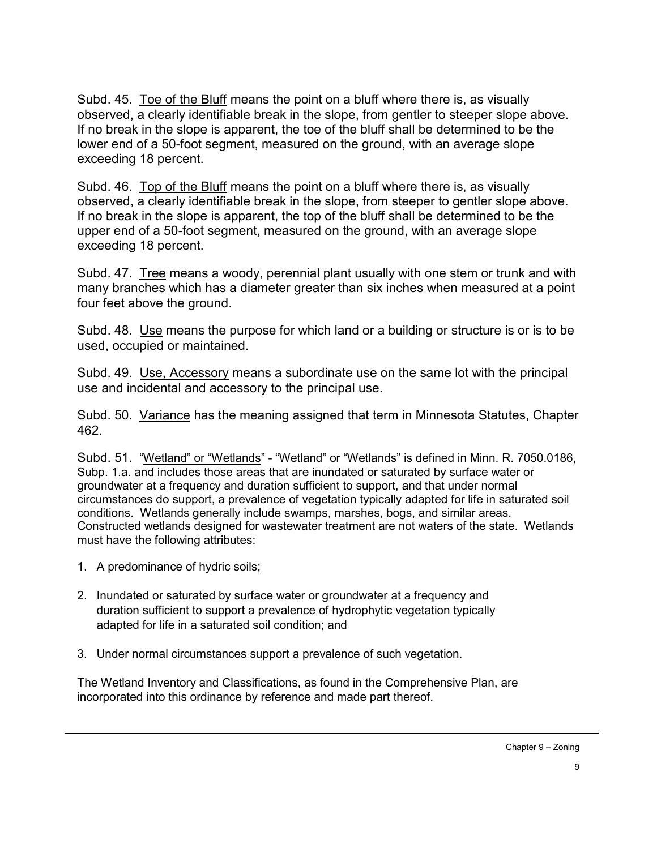Subd. 45. Toe of the Bluff means the point on a bluff where there is, as visually observed, a clearly identifiable break in the slope, from gentler to steeper slope above. If no break in the slope is apparent, the toe of the bluff shall be determined to be the lower end of a 50-foot segment, measured on the ground, with an average slope exceeding 18 percent.

Subd. 46. Top of the Bluff means the point on a bluff where there is, as visually observed, a clearly identifiable break in the slope, from steeper to gentler slope above. If no break in the slope is apparent, the top of the bluff shall be determined to be the upper end of a 50-foot segment, measured on the ground, with an average slope exceeding 18 percent.

Subd. 47. Tree means a woody, perennial plant usually with one stem or trunk and with many branches which has a diameter greater than six inches when measured at a point four feet above the ground.

Subd. 48. Use means the purpose for which land or a building or structure is or is to be used, occupied or maintained.

Subd. 49. Use, Accessory means a subordinate use on the same lot with the principal use and incidental and accessory to the principal use.

Subd. 50. Variance has the meaning assigned that term in Minnesota Statutes, Chapter 462.

Subd. 51. "Wetland" or "Wetlands" - "Wetland" or "Wetlands" is defined in Minn. R. 7050.0186, Subp. 1.a. and includes those areas that are inundated or saturated by surface water or groundwater at a frequency and duration sufficient to support, and that under normal circumstances do support, a prevalence of vegetation typically adapted for life in saturated soil conditions. Wetlands generally include swamps, marshes, bogs, and similar areas. Constructed wetlands designed for wastewater treatment are not waters of the state. Wetlands must have the following attributes:

- 1. A predominance of hydric soils;
- 2. Inundated or saturated by surface water or groundwater at a frequency and duration sufficient to support a prevalence of hydrophytic vegetation typically adapted for life in a saturated soil condition; and
- 3. Under normal circumstances support a prevalence of such vegetation.

The Wetland Inventory and Classifications, as found in the Comprehensive Plan, are incorporated into this ordinance by reference and made part thereof.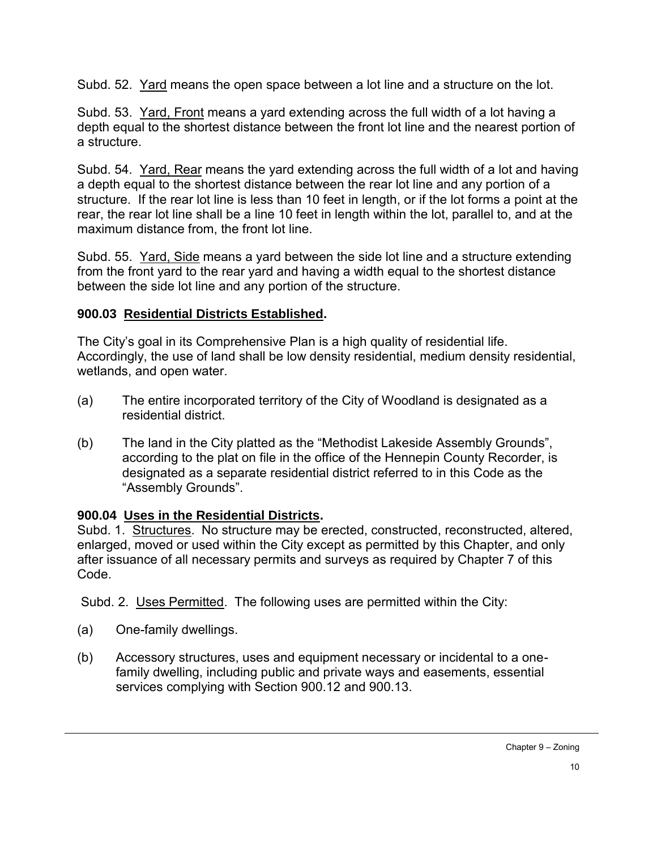Subd. 52. Yard means the open space between a lot line and a structure on the lot.

Subd. 53. Yard, Front means a yard extending across the full width of a lot having a depth equal to the shortest distance between the front lot line and the nearest portion of a structure.

Subd. 54. Yard, Rear means the yard extending across the full width of a lot and having a depth equal to the shortest distance between the rear lot line and any portion of a structure. If the rear lot line is less than 10 feet in length, or if the lot forms a point at the rear, the rear lot line shall be a line 10 feet in length within the lot, parallel to, and at the maximum distance from, the front lot line.

Subd. 55. Yard, Side means a yard between the side lot line and a structure extending from the front yard to the rear yard and having a width equal to the shortest distance between the side lot line and any portion of the structure.

## **900.03 Residential Districts Established.**

The City's goal in its Comprehensive Plan is a high quality of residential life. Accordingly, the use of land shall be low density residential, medium density residential, wetlands, and open water.

- (a) The entire incorporated territory of the City of Woodland is designated as a residential district.
- (b) The land in the City platted as the "Methodist Lakeside Assembly Grounds", according to the plat on file in the office of the Hennepin County Recorder, is designated as a separate residential district referred to in this Code as the "Assembly Grounds".

## **900.04 Uses in the Residential Districts.**

Subd. 1. Structures. No structure may be erected, constructed, reconstructed, altered, enlarged, moved or used within the City except as permitted by this Chapter, and only after issuance of all necessary permits and surveys as required by Chapter 7 of this Code.

Subd. 2. Uses Permitted. The following uses are permitted within the City:

- (a) One-family dwellings.
- (b) Accessory structures, uses and equipment necessary or incidental to a onefamily dwelling, including public and private ways and easements, essential services complying with Section 900.12 and 900.13.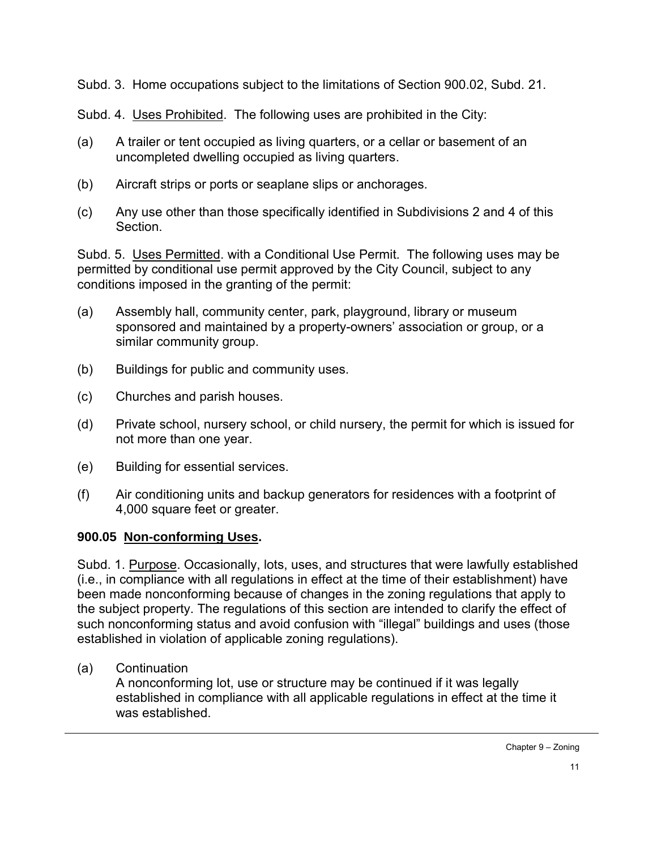Subd. 3. Home occupations subject to the limitations of Section 900.02, Subd. 21.

Subd. 4. Uses Prohibited. The following uses are prohibited in the City:

- (a) A trailer or tent occupied as living quarters, or a cellar or basement of an uncompleted dwelling occupied as living quarters.
- (b) Aircraft strips or ports or seaplane slips or anchorages.
- (c) Any use other than those specifically identified in Subdivisions 2 and 4 of this **Section**

Subd. 5. Uses Permitted. with a Conditional Use Permit. The following uses may be permitted by conditional use permit approved by the City Council, subject to any conditions imposed in the granting of the permit:

- (a) Assembly hall, community center, park, playground, library or museum sponsored and maintained by a property-owners' association or group, or a similar community group.
- (b) Buildings for public and community uses.
- (c) Churches and parish houses.
- (d) Private school, nursery school, or child nursery, the permit for which is issued for not more than one year.
- (e) Building for essential services.
- (f) Air conditioning units and backup generators for residences with a footprint of 4,000 square feet or greater.

## **900.05 Non-conforming Uses.**

Subd. 1. Purpose. Occasionally, lots, uses, and structures that were lawfully established (i.e., in compliance with all regulations in effect at the time of their establishment) have been made nonconforming because of changes in the zoning regulations that apply to the subject property. The regulations of this section are intended to clarify the effect of such nonconforming status and avoid confusion with "illegal" buildings and uses (those established in violation of applicable zoning regulations).

# (a) Continuation

A nonconforming lot, use or structure may be continued if it was legally established in compliance with all applicable regulations in effect at the time it was established.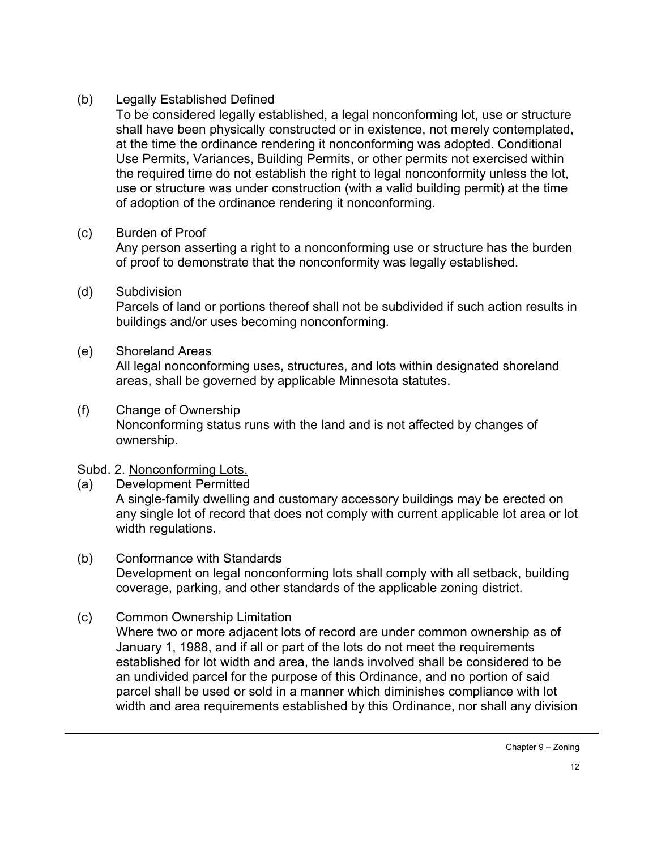### (b) Legally Established Defined

To be considered legally established, a legal nonconforming lot, use or structure shall have been physically constructed or in existence, not merely contemplated, at the time the ordinance rendering it nonconforming was adopted. Conditional Use Permits, Variances, Building Permits, or other permits not exercised within the required time do not establish the right to legal nonconformity unless the lot, use or structure was under construction (with a valid building permit) at the time of adoption of the ordinance rendering it nonconforming.

## (c) Burden of Proof

Any person asserting a right to a nonconforming use or structure has the burden of proof to demonstrate that the nonconformity was legally established.

(d) Subdivision

Parcels of land or portions thereof shall not be subdivided if such action results in buildings and/or uses becoming nonconforming.

## (e) Shoreland Areas

All legal nonconforming uses, structures, and lots within designated shoreland areas, shall be governed by applicable Minnesota statutes.

(f) Change of Ownership Nonconforming status runs with the land and is not affected by changes of ownership.

### Subd. 2. Nonconforming Lots.

- (a) Development Permitted A single-family dwelling and customary accessory buildings may be erected on any single lot of record that does not comply with current applicable lot area or lot width regulations.
- (b) Conformance with Standards Development on legal nonconforming lots shall comply with all setback, building coverage, parking, and other standards of the applicable zoning district.
- (c) Common Ownership Limitation

Where two or more adjacent lots of record are under common ownership as of January 1, 1988, and if all or part of the lots do not meet the requirements established for lot width and area, the lands involved shall be considered to be an undivided parcel for the purpose of this Ordinance, and no portion of said parcel shall be used or sold in a manner which diminishes compliance with lot width and area requirements established by this Ordinance, nor shall any division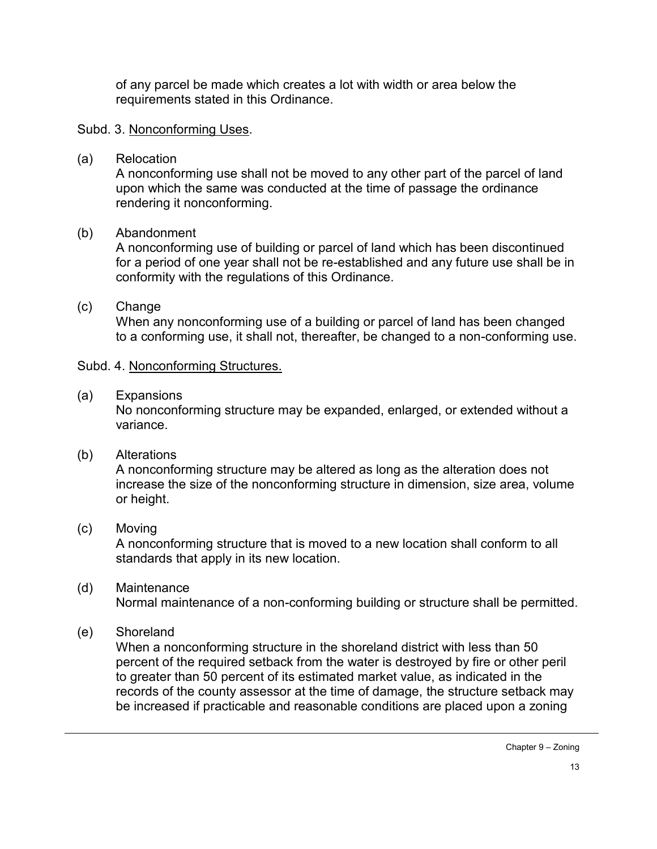of any parcel be made which creates a lot with width or area below the requirements stated in this Ordinance.

#### Subd. 3. Nonconforming Uses.

(a) Relocation

A nonconforming use shall not be moved to any other part of the parcel of land upon which the same was conducted at the time of passage the ordinance rendering it nonconforming.

### (b) Abandonment

A nonconforming use of building or parcel of land which has been discontinued for a period of one year shall not be re-established and any future use shall be in conformity with the regulations of this Ordinance.

## (c) Change

When any nonconforming use of a building or parcel of land has been changed to a conforming use, it shall not, thereafter, be changed to a non-conforming use.

#### Subd. 4. Nonconforming Structures.

#### (a) Expansions

No nonconforming structure may be expanded, enlarged, or extended without a variance.

### (b) Alterations

A nonconforming structure may be altered as long as the alteration does not increase the size of the nonconforming structure in dimension, size area, volume or height.

### (c) Moving

A nonconforming structure that is moved to a new location shall conform to all standards that apply in its new location.

- (d) Maintenance Normal maintenance of a non-conforming building or structure shall be permitted.
- (e) Shoreland

When a nonconforming structure in the shoreland district with less than 50 percent of the required setback from the water is destroyed by fire or other peril to greater than 50 percent of its estimated market value, as indicated in the records of the county assessor at the time of damage, the structure setback may be increased if practicable and reasonable conditions are placed upon a zoning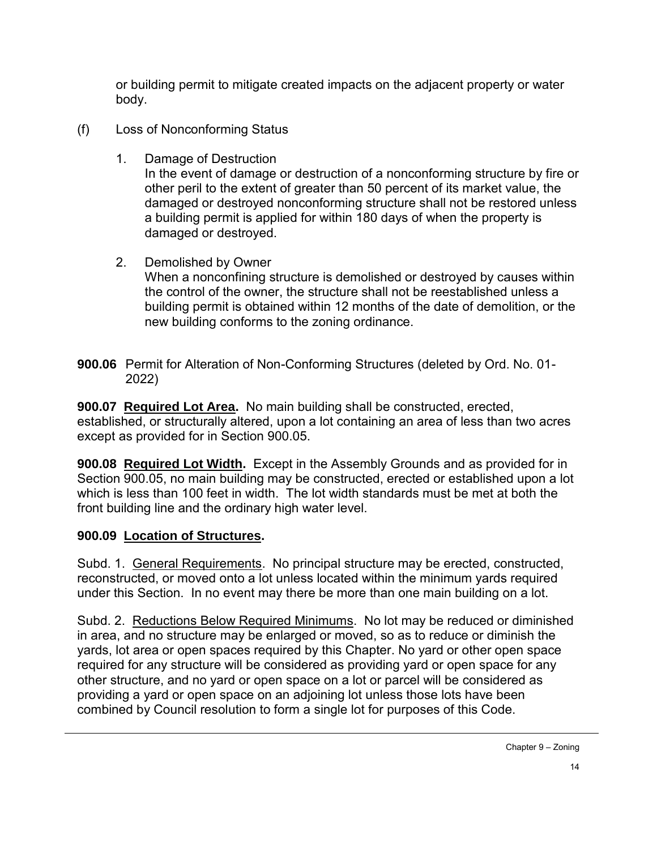or building permit to mitigate created impacts on the adjacent property or water body.

- (f) Loss of Nonconforming Status
	- 1. Damage of Destruction

In the event of damage or destruction of a nonconforming structure by fire or other peril to the extent of greater than 50 percent of its market value, the damaged or destroyed nonconforming structure shall not be restored unless a building permit is applied for within 180 days of when the property is damaged or destroyed.

- 2. Demolished by Owner When a nonconfining structure is demolished or destroyed by causes within the control of the owner, the structure shall not be reestablished unless a building permit is obtained within 12 months of the date of demolition, or the new building conforms to the zoning ordinance.
- **900.06** Permit for Alteration of Non-Conforming Structures (deleted by Ord. No. 01- 2022)

**900.07 Required Lot Area.** No main building shall be constructed, erected, established, or structurally altered, upon a lot containing an area of less than two acres except as provided for in Section 900.05.

**900.08 Required Lot Width.** Except in the Assembly Grounds and as provided for in Section 900.05, no main building may be constructed, erected or established upon a lot which is less than 100 feet in width. The lot width standards must be met at both the front building line and the ordinary high water level.

### **900.09 Location of Structures.**

Subd. 1. General Requirements. No principal structure may be erected, constructed, reconstructed, or moved onto a lot unless located within the minimum yards required under this Section. In no event may there be more than one main building on a lot.

Subd. 2. Reductions Below Required Minimums. No lot may be reduced or diminished in area, and no structure may be enlarged or moved, so as to reduce or diminish the yards, lot area or open spaces required by this Chapter. No yard or other open space required for any structure will be considered as providing yard or open space for any other structure, and no yard or open space on a lot or parcel will be considered as providing a yard or open space on an adjoining lot unless those lots have been combined by Council resolution to form a single lot for purposes of this Code.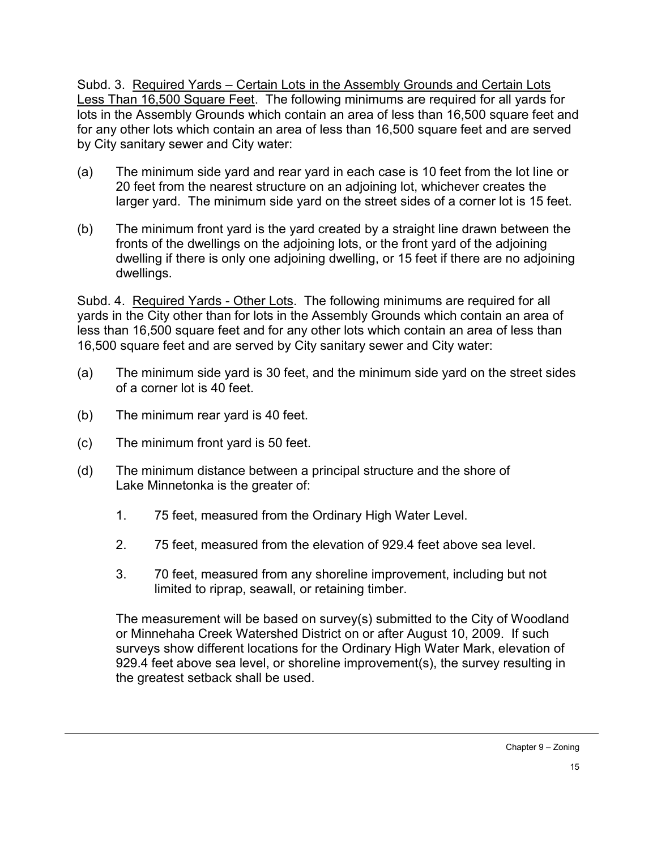Subd. 3. Required Yards – Certain Lots in the Assembly Grounds and Certain Lots Less Than 16,500 Square Feet. The following minimums are required for all yards for lots in the Assembly Grounds which contain an area of less than 16,500 square feet and for any other lots which contain an area of less than 16,500 square feet and are served by City sanitary sewer and City water:

- (a) The minimum side yard and rear yard in each case is 10 feet from the lot line or 20 feet from the nearest structure on an adjoining lot, whichever creates the larger yard. The minimum side yard on the street sides of a corner lot is 15 feet.
- (b) The minimum front yard is the yard created by a straight line drawn between the fronts of the dwellings on the adjoining lots, or the front yard of the adjoining dwelling if there is only one adjoining dwelling, or 15 feet if there are no adjoining dwellings.

Subd. 4. Required Yards - Other Lots. The following minimums are required for all yards in the City other than for lots in the Assembly Grounds which contain an area of less than 16,500 square feet and for any other lots which contain an area of less than 16,500 square feet and are served by City sanitary sewer and City water:

- (a) The minimum side yard is 30 feet, and the minimum side yard on the street sides of a corner lot is 40 feet.
- (b) The minimum rear yard is 40 feet.
- (c) The minimum front yard is 50 feet.
- (d) The minimum distance between a principal structure and the shore of Lake Minnetonka is the greater of:
	- 1. 75 feet, measured from the Ordinary High Water Level.
	- 2. 75 feet, measured from the elevation of 929.4 feet above sea level.
	- 3. 70 feet, measured from any shoreline improvement, including but not limited to riprap, seawall, or retaining timber.

The measurement will be based on survey(s) submitted to the City of Woodland or Minnehaha Creek Watershed District on or after August 10, 2009. If such surveys show different locations for the Ordinary High Water Mark, elevation of 929.4 feet above sea level, or shoreline improvement(s), the survey resulting in the greatest setback shall be used.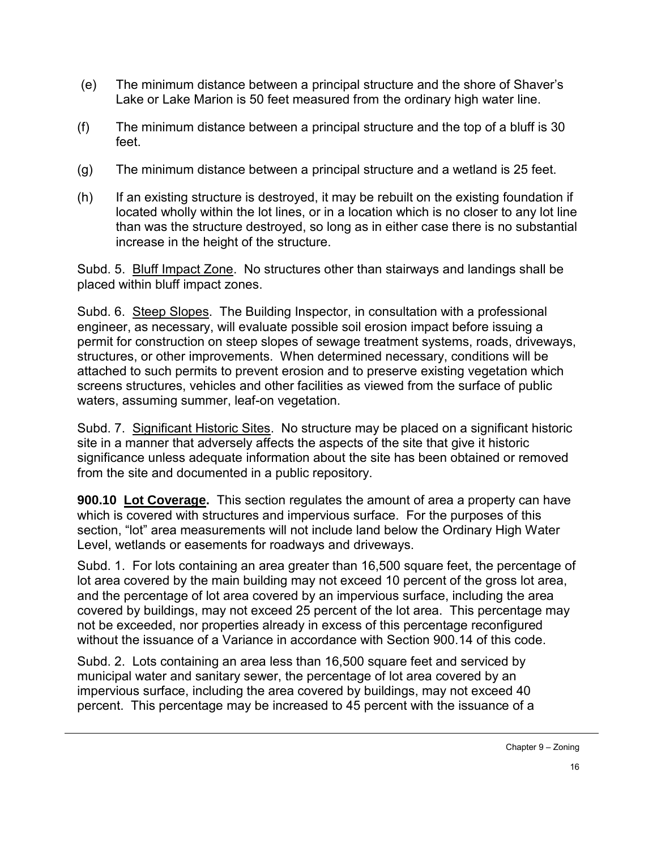- (e) The minimum distance between a principal structure and the shore of Shaver's Lake or Lake Marion is 50 feet measured from the ordinary high water line.
- (f) The minimum distance between a principal structure and the top of a bluff is 30 feet.
- (g) The minimum distance between a principal structure and a wetland is 25 feet.
- (h) If an existing structure is destroyed, it may be rebuilt on the existing foundation if located wholly within the lot lines, or in a location which is no closer to any lot line than was the structure destroyed, so long as in either case there is no substantial increase in the height of the structure.

Subd. 5. Bluff Impact Zone. No structures other than stairways and landings shall be placed within bluff impact zones.

Subd. 6. Steep Slopes. The Building Inspector, in consultation with a professional engineer, as necessary, will evaluate possible soil erosion impact before issuing a permit for construction on steep slopes of sewage treatment systems, roads, driveways, structures, or other improvements. When determined necessary, conditions will be attached to such permits to prevent erosion and to preserve existing vegetation which screens structures, vehicles and other facilities as viewed from the surface of public waters, assuming summer, leaf-on vegetation.

Subd. 7. Significant Historic Sites. No structure may be placed on a significant historic site in a manner that adversely affects the aspects of the site that give it historic significance unless adequate information about the site has been obtained or removed from the site and documented in a public repository.

**900.10 Lot Coverage.** This section regulates the amount of area a property can have which is covered with structures and impervious surface. For the purposes of this section, "lot" area measurements will not include land below the Ordinary High Water Level, wetlands or easements for roadways and driveways.

Subd. 1. For lots containing an area greater than 16,500 square feet, the percentage of lot area covered by the main building may not exceed 10 percent of the gross lot area, and the percentage of lot area covered by an impervious surface, including the area covered by buildings, may not exceed 25 percent of the lot area. This percentage may not be exceeded, nor properties already in excess of this percentage reconfigured without the issuance of a Variance in accordance with Section 900.14 of this code.

Subd. 2. Lots containing an area less than 16,500 square feet and serviced by municipal water and sanitary sewer, the percentage of lot area covered by an impervious surface, including the area covered by buildings, may not exceed 40 percent. This percentage may be increased to 45 percent with the issuance of a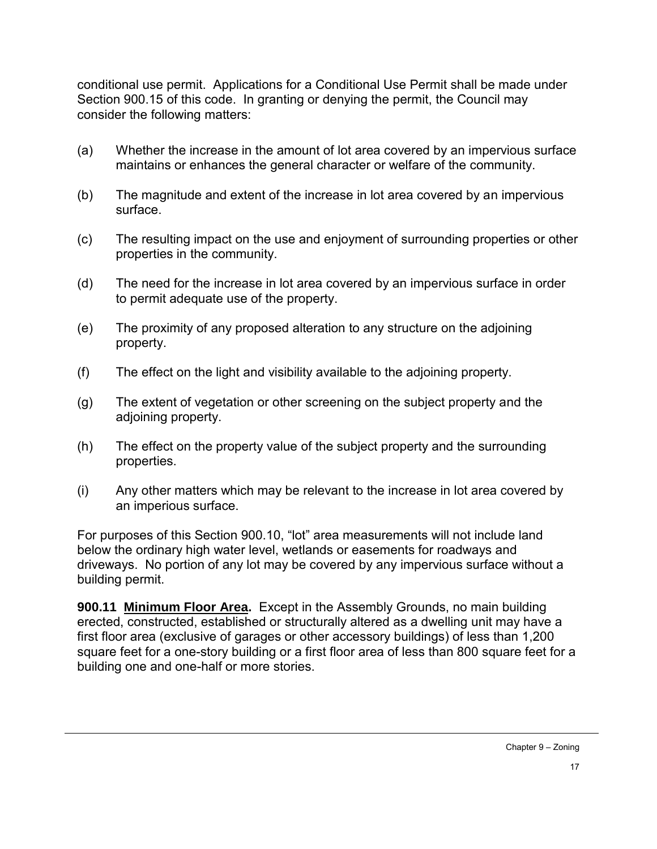conditional use permit. Applications for a Conditional Use Permit shall be made under Section 900.15 of this code. In granting or denying the permit, the Council may consider the following matters:

- (a) Whether the increase in the amount of lot area covered by an impervious surface maintains or enhances the general character or welfare of the community.
- (b) The magnitude and extent of the increase in lot area covered by an impervious surface.
- (c) The resulting impact on the use and enjoyment of surrounding properties or other properties in the community.
- (d) The need for the increase in lot area covered by an impervious surface in order to permit adequate use of the property.
- (e) The proximity of any proposed alteration to any structure on the adjoining property.
- (f) The effect on the light and visibility available to the adjoining property.
- (g) The extent of vegetation or other screening on the subject property and the adjoining property.
- (h) The effect on the property value of the subject property and the surrounding properties.
- (i) Any other matters which may be relevant to the increase in lot area covered by an imperious surface.

For purposes of this Section 900.10, "lot" area measurements will not include land below the ordinary high water level, wetlands or easements for roadways and driveways. No portion of any lot may be covered by any impervious surface without a building permit.

**900.11 Minimum Floor Area.** Except in the Assembly Grounds, no main building erected, constructed, established or structurally altered as a dwelling unit may have a first floor area (exclusive of garages or other accessory buildings) of less than 1,200 square feet for a one-story building or a first floor area of less than 800 square feet for a building one and one-half or more stories.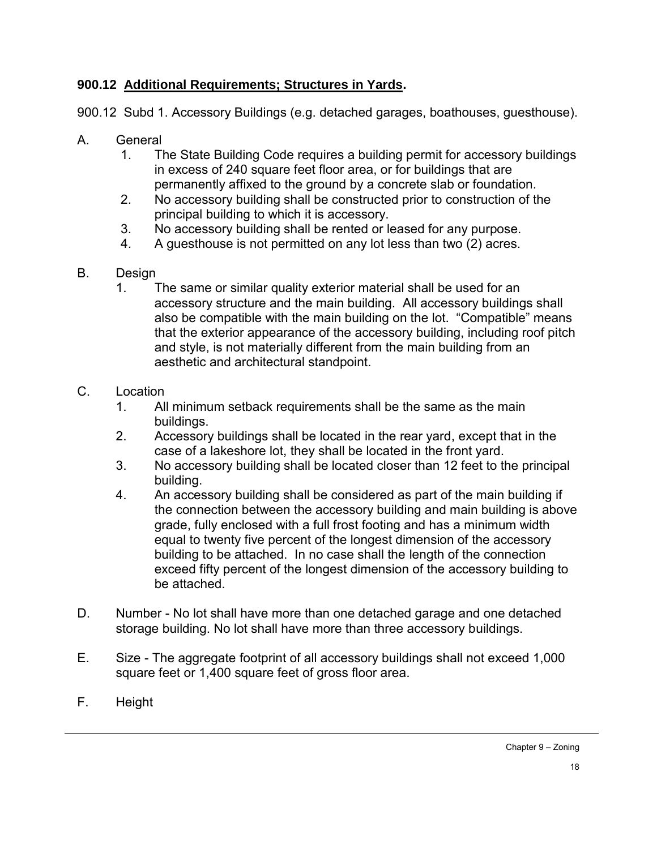## **900.12 Additional Requirements; Structures in Yards.**

900.12 Subd 1. Accessory Buildings (e.g. detached garages, boathouses, guesthouse).

- A. General
	- 1. The State Building Code requires a building permit for accessory buildings in excess of 240 square feet floor area, or for buildings that are permanently affixed to the ground by a concrete slab or foundation.
	- 2. No accessory building shall be constructed prior to construction of the principal building to which it is accessory.
	- 3. No accessory building shall be rented or leased for any purpose.
	- 4. A guesthouse is not permitted on any lot less than two (2) acres.
- B. Design
	- 1. The same or similar quality exterior material shall be used for an accessory structure and the main building. All accessory buildings shall also be compatible with the main building on the lot. "Compatible" means that the exterior appearance of the accessory building, including roof pitch and style, is not materially different from the main building from an aesthetic and architectural standpoint.
- C. Location
	- 1. All minimum setback requirements shall be the same as the main buildings.
	- 2. Accessory buildings shall be located in the rear yard, except that in the case of a lakeshore lot, they shall be located in the front yard.
	- 3. No accessory building shall be located closer than 12 feet to the principal building.
	- 4. An accessory building shall be considered as part of the main building if the connection between the accessory building and main building is above grade, fully enclosed with a full frost footing and has a minimum width equal to twenty five percent of the longest dimension of the accessory building to be attached. In no case shall the length of the connection exceed fifty percent of the longest dimension of the accessory building to be attached.
- D. Number No lot shall have more than one detached garage and one detached storage building. No lot shall have more than three accessory buildings.
- E. Size The aggregate footprint of all accessory buildings shall not exceed 1,000 square feet or 1,400 square feet of gross floor area.
- F. Height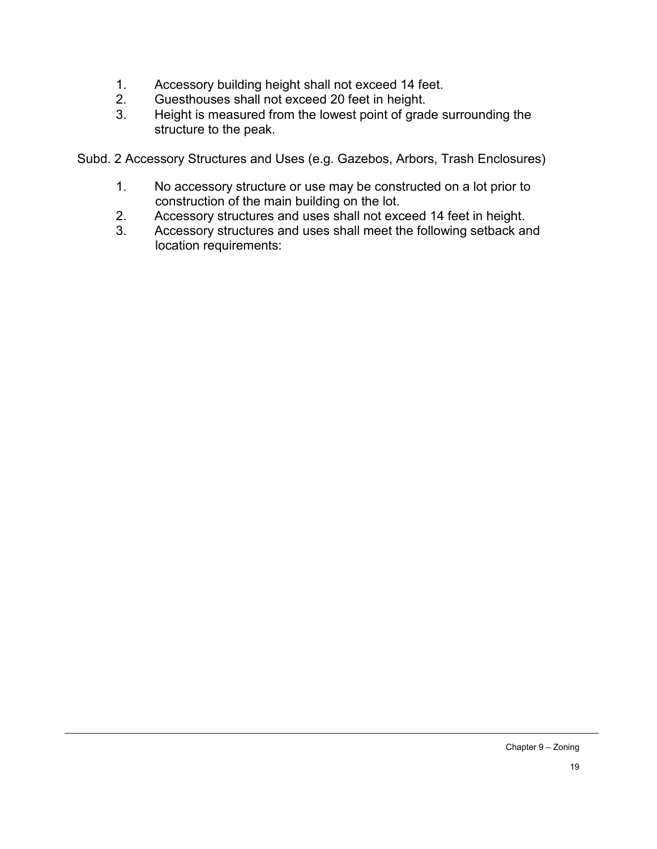- 1. Accessory building height shall not exceed 14 feet.<br>2. Guesthouses shall not exceed 20 feet in height.
- 2. Guesthouses shall not exceed 20 feet in height.<br>3. Height is measured from the lowest point of grad
- Height is measured from the lowest point of grade surrounding the structure to the peak.

Subd. 2 Accessory Structures and Uses (e.g. Gazebos, Arbors, Trash Enclosures)

- 1. No accessory structure or use may be constructed on a lot prior to construction of the main building on the lot.
- 2. Accessory structures and uses shall not exceed 14 feet in height.<br>3. Accessory structures and uses shall meet the following setback are
- Accessory structures and uses shall meet the following setback and location requirements: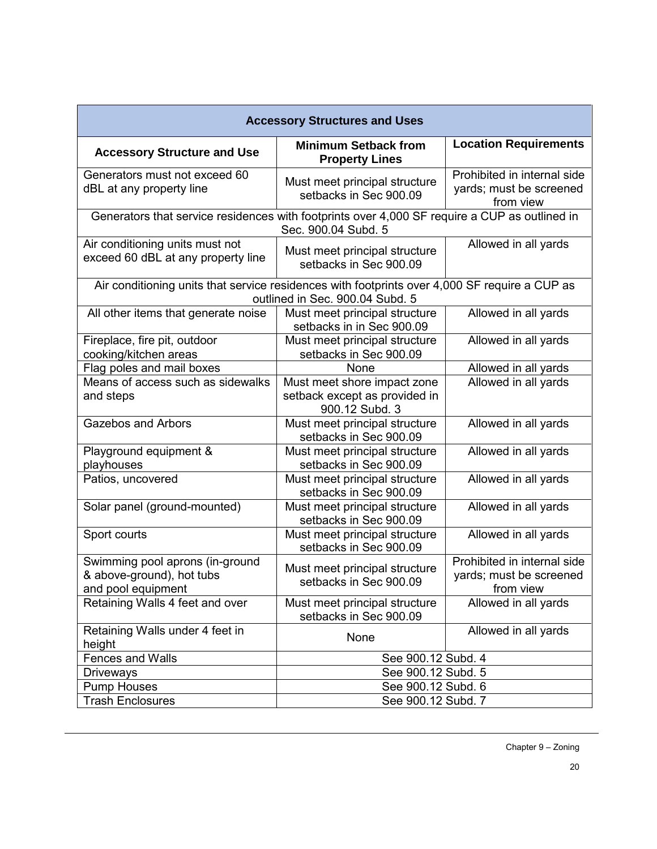| <b>Accessory Structures and Uses</b>                                                                                             |                                                                                |                                                                     |  |  |
|----------------------------------------------------------------------------------------------------------------------------------|--------------------------------------------------------------------------------|---------------------------------------------------------------------|--|--|
| <b>Accessory Structure and Use</b>                                                                                               | <b>Minimum Setback from</b><br><b>Property Lines</b>                           | <b>Location Requirements</b>                                        |  |  |
| Generators must not exceed 60<br>dBL at any property line                                                                        | Must meet principal structure<br>setbacks in Sec 900.09                        | Prohibited in internal side<br>yards; must be screened<br>from view |  |  |
| Generators that service residences with footprints over 4,000 SF require a CUP as outlined in<br>Sec. 900.04 Subd. 5             |                                                                                |                                                                     |  |  |
| Air conditioning units must not<br>exceed 60 dBL at any property line                                                            | Must meet principal structure<br>setbacks in Sec 900.09                        | Allowed in all yards                                                |  |  |
| Air conditioning units that service residences with footprints over 4,000 SF require a CUP as<br>outlined in Sec. 900.04 Subd. 5 |                                                                                |                                                                     |  |  |
| All other items that generate noise                                                                                              | Must meet principal structure<br>setbacks in in Sec 900.09                     | Allowed in all yards                                                |  |  |
| Fireplace, fire pit, outdoor<br>cooking/kitchen areas                                                                            | Must meet principal structure<br>setbacks in Sec 900.09                        | Allowed in all yards                                                |  |  |
| Flag poles and mail boxes                                                                                                        | None                                                                           | Allowed in all yards                                                |  |  |
| Means of access such as sidewalks<br>and steps                                                                                   | Must meet shore impact zone<br>setback except as provided in<br>900.12 Subd. 3 | Allowed in all yards                                                |  |  |
| <b>Gazebos and Arbors</b>                                                                                                        | Must meet principal structure<br>setbacks in Sec 900.09                        | Allowed in all yards                                                |  |  |
| Playground equipment &<br>playhouses                                                                                             | Must meet principal structure<br>setbacks in Sec 900.09                        | Allowed in all yards                                                |  |  |
| Patios, uncovered                                                                                                                | Must meet principal structure<br>setbacks in Sec 900.09                        | Allowed in all yards                                                |  |  |
| Solar panel (ground-mounted)                                                                                                     | Must meet principal structure<br>setbacks in Sec 900.09                        | Allowed in all yards                                                |  |  |
| Sport courts                                                                                                                     | Must meet principal structure<br>setbacks in Sec 900.09                        | Allowed in all yards                                                |  |  |
| Swimming pool aprons (in-ground<br>& above-ground), hot tubs<br>and pool equipment                                               | Must meet principal structure<br>setbacks in Sec 900.09                        | Prohibited in internal side<br>yards; must be screened<br>from view |  |  |
| Retaining Walls 4 feet and over                                                                                                  | Must meet principal structure<br>setbacks in Sec 900.09                        | Allowed in all yards                                                |  |  |
| Retaining Walls under 4 feet in<br>height                                                                                        | None                                                                           | Allowed in all yards                                                |  |  |
| <b>Fences and Walls</b>                                                                                                          | See 900.12 Subd. 4                                                             |                                                                     |  |  |
| <b>Driveways</b>                                                                                                                 | See 900.12 Subd. 5                                                             |                                                                     |  |  |
| <b>Pump Houses</b>                                                                                                               | See 900.12 Subd. 6<br>See 900.12 Subd. 7                                       |                                                                     |  |  |
| <b>Trash Enclosures</b>                                                                                                          |                                                                                |                                                                     |  |  |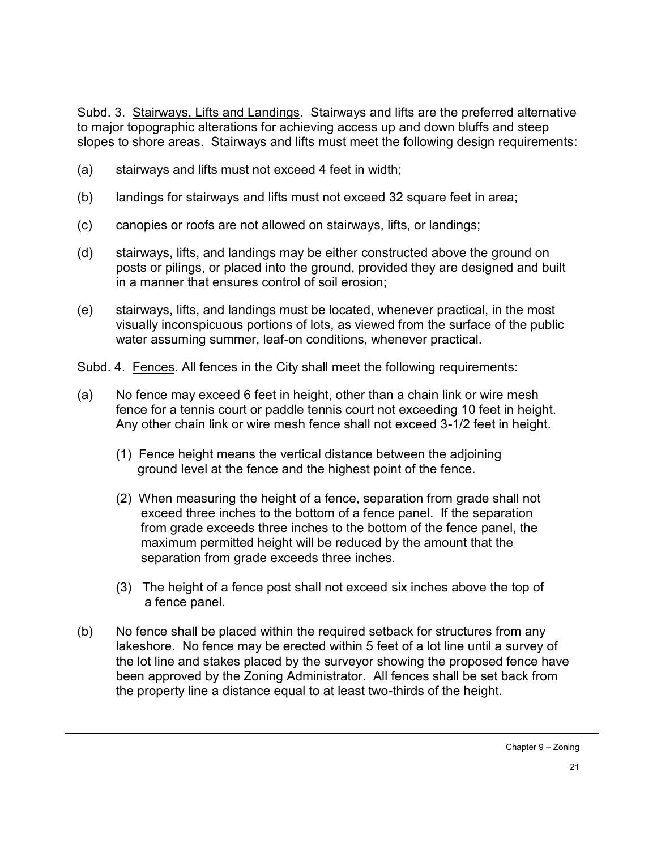Subd. 3. Stairways, Lifts and Landings. Stairways and lifts are the preferred alternative to major topographic alterations for achieving access up and down bluffs and steep slopes to shore areas. Stairways and lifts must meet the following design requirements:

- (a) stairways and lifts must not exceed 4 feet in width;
- (b) landings for stairways and lifts must not exceed 32 square feet in area;
- (c) canopies or roofs are not allowed on stairways, lifts, or landings;
- (d) stairways, lifts, and landings may be either constructed above the ground on posts or pilings, or placed into the ground, provided they are designed and built in a manner that ensures control of soil erosion;
- (e) stairways, lifts, and landings must be located, whenever practical, in the most visually inconspicuous portions of lots, as viewed from the surface of the public water assuming summer, leaf-on conditions, whenever practical.
- Subd. 4. Fences. All fences in the City shall meet the following requirements:
- (a) No fence may exceed 6 feet in height, other than a chain link or wire mesh fence for a tennis court or paddle tennis court not exceeding 10 feet in height. Any other chain link or wire mesh fence shall not exceed 3-1/2 feet in height.
	- (1) Fence height means the vertical distance between the adjoining ground level at the fence and the highest point of the fence.
	- (2) When measuring the height of a fence, separation from grade shall not exceed three inches to the bottom of a fence panel. If the separation from grade exceeds three inches to the bottom of the fence panel, the maximum permitted height will be reduced by the amount that the separation from grade exceeds three inches.
	- (3) The height of a fence post shall not exceed six inches above the top of a fence panel.
- (b) No fence shall be placed within the required setback for structures from any lakeshore. No fence may be erected within 5 feet of a lot line until a survey of the lot line and stakes placed by the surveyor showing the proposed fence have been approved by the Zoning Administrator. All fences shall be set back from the property line a distance equal to at least two-thirds of the height.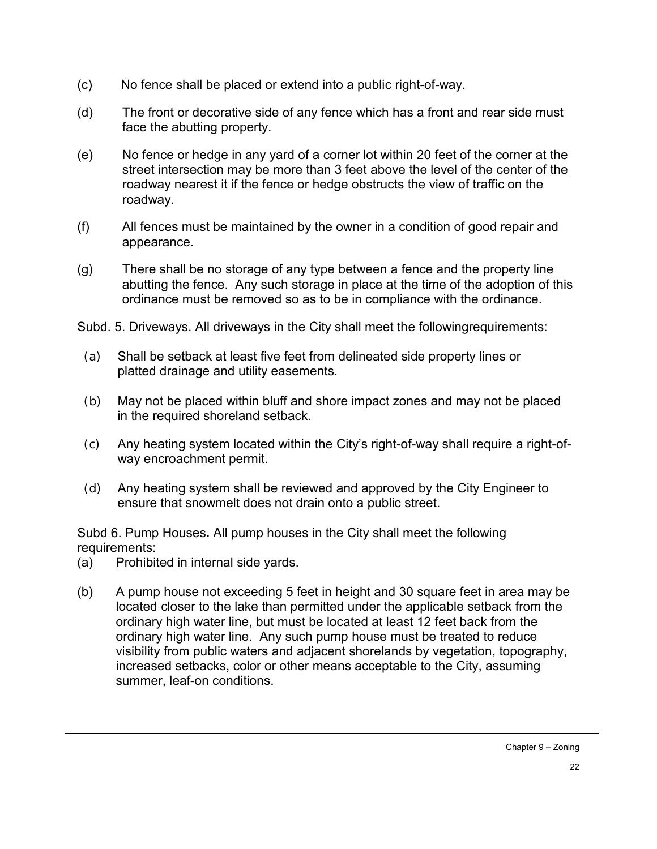- (c) No fence shall be placed or extend into a public right-of-way.
- (d) The front or decorative side of any fence which has a front and rear side must face the abutting property.
- (e) No fence or hedge in any yard of a corner lot within 20 feet of the corner at the street intersection may be more than 3 feet above the level of the center of the roadway nearest it if the fence or hedge obstructs the view of traffic on the roadway.
- (f) All fences must be maintained by the owner in a condition of good repair and appearance.
- (g) There shall be no storage of any type between a fence and the property line abutting the fence. Any such storage in place at the time of the adoption of this ordinance must be removed so as to be in compliance with the ordinance.

Subd. 5. Driveways. All driveways in the City shall meet the followingrequirements:

- (a) Shall be setback at least five feet from delineated side property lines or platted drainage and utility easements.
- (b) May not be placed within bluff and shore impact zones and may not be placed in the required shoreland setback.
- (c) Any heating system located within the City's right-of-way shall require a right-ofway encroachment permit.
- (d) Any heating system shall be reviewed and approved by the City Engineer to ensure that snowmelt does not drain onto a public street.

Subd 6. Pump Houses**.** All pump houses in the City shall meet the following requirements:

- (a) Prohibited in internal side yards.
- (b) A pump house not exceeding 5 feet in height and 30 square feet in area may be located closer to the lake than permitted under the applicable setback from the ordinary high water line, but must be located at least 12 feet back from the ordinary high water line. Any such pump house must be treated to reduce visibility from public waters and adjacent shorelands by vegetation, topography, increased setbacks, color or other means acceptable to the City, assuming summer, leaf-on conditions.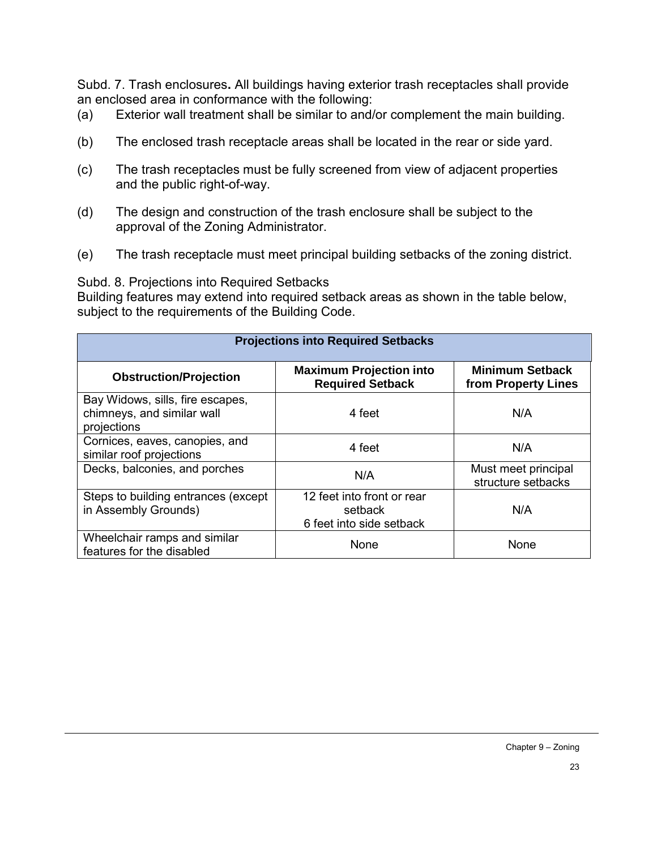Subd. 7. Trash enclosures**.** All buildings having exterior trash receptacles shall provide an enclosed area in conformance with the following:

- (a) Exterior wall treatment shall be similar to and/or complement the main building.
- (b) The enclosed trash receptacle areas shall be located in the rear or side yard.
- (c) The trash receptacles must be fully screened from view of adjacent properties and the public right-of-way.
- (d) The design and construction of the trash enclosure shall be subject to the approval of the Zoning Administrator.
- (e) The trash receptacle must meet principal building setbacks of the zoning district.

Subd. 8. Projections into Required Setbacks

Building features may extend into required setback areas as shown in the table below, subject to the requirements of the Building Code.

| <b>Projections into Required Setbacks</b>                                     |                                                                   |                                               |  |  |
|-------------------------------------------------------------------------------|-------------------------------------------------------------------|-----------------------------------------------|--|--|
| <b>Obstruction/Projection</b>                                                 | <b>Maximum Projection into</b><br><b>Required Setback</b>         | <b>Minimum Setback</b><br>from Property Lines |  |  |
| Bay Widows, sills, fire escapes,<br>chimneys, and similar wall<br>projections | 4 feet                                                            | N/A                                           |  |  |
| Cornices, eaves, canopies, and<br>similar roof projections                    | 4 feet                                                            | N/A                                           |  |  |
| Decks, balconies, and porches                                                 | N/A                                                               | Must meet principal<br>structure setbacks     |  |  |
| Steps to building entrances (except<br>in Assembly Grounds)                   | 12 feet into front or rear<br>setback<br>6 feet into side setback | N/A                                           |  |  |
| Wheelchair ramps and similar<br>features for the disabled                     | None                                                              | None                                          |  |  |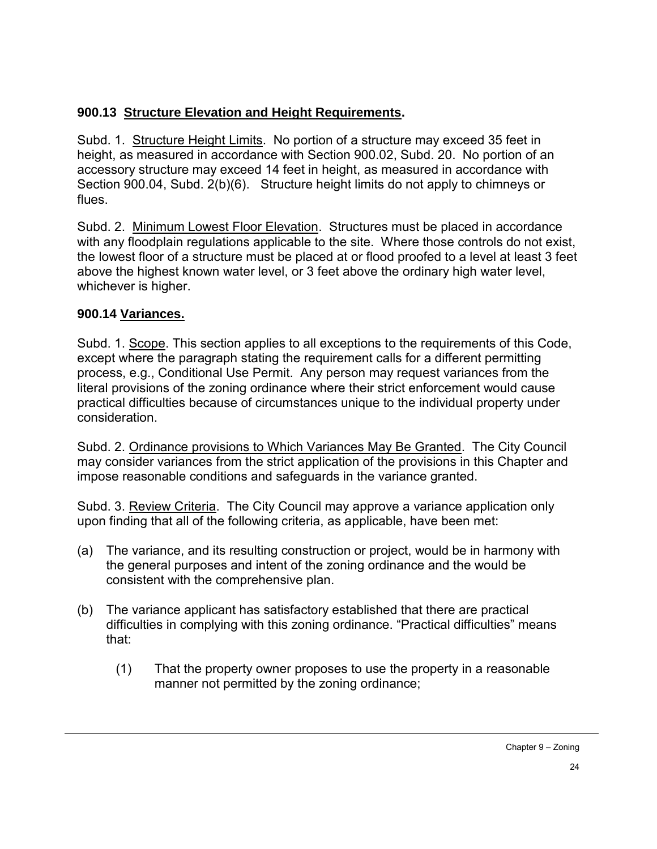# **900.13 Structure Elevation and Height Requirements.**

Subd. 1. Structure Height Limits. No portion of a structure may exceed 35 feet in height, as measured in accordance with Section 900.02, Subd. 20. No portion of an accessory structure may exceed 14 feet in height, as measured in accordance with Section 900.04, Subd. 2(b)(6). Structure height limits do not apply to chimneys or flues.

Subd. 2. Minimum Lowest Floor Elevation. Structures must be placed in accordance with any floodplain regulations applicable to the site. Where those controls do not exist, the lowest floor of a structure must be placed at or flood proofed to a level at least 3 feet above the highest known water level, or 3 feet above the ordinary high water level, whichever is higher.

## **900.14 Variances.**

Subd. 1. Scope. This section applies to all exceptions to the requirements of this Code, except where the paragraph stating the requirement calls for a different permitting process, e.g., Conditional Use Permit. Any person may request variances from the literal provisions of the zoning ordinance where their strict enforcement would cause practical difficulties because of circumstances unique to the individual property under consideration.

Subd. 2. Ordinance provisions to Which Variances May Be Granted. The City Council may consider variances from the strict application of the provisions in this Chapter and impose reasonable conditions and safeguards in the variance granted.

Subd. 3. Review Criteria. The City Council may approve a variance application only upon finding that all of the following criteria, as applicable, have been met:

- (a) The variance, and its resulting construction or project, would be in harmony with the general purposes and intent of the zoning ordinance and the would be consistent with the comprehensive plan.
- (b) The variance applicant has satisfactory established that there are practical difficulties in complying with this zoning ordinance. "Practical difficulties" means that:
	- (1) That the property owner proposes to use the property in a reasonable manner not permitted by the zoning ordinance;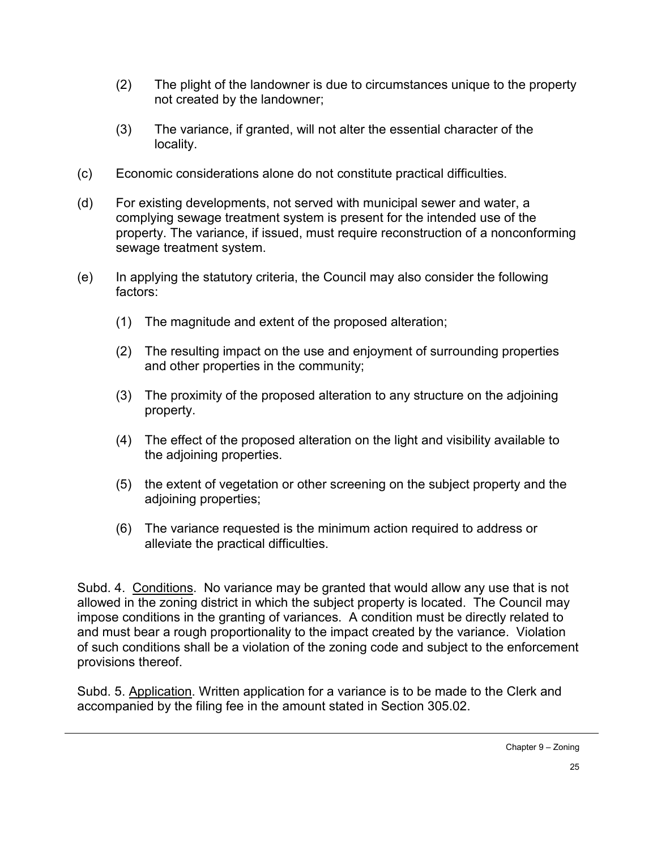- (2) The plight of the landowner is due to circumstances unique to the property not created by the landowner;
- (3) The variance, if granted, will not alter the essential character of the locality.
- (c) Economic considerations alone do not constitute practical difficulties.
- (d) For existing developments, not served with municipal sewer and water, a complying sewage treatment system is present for the intended use of the property. The variance, if issued, must require reconstruction of a nonconforming sewage treatment system.
- (e) In applying the statutory criteria, the Council may also consider the following factors:
	- (1) The magnitude and extent of the proposed alteration;
	- (2) The resulting impact on the use and enjoyment of surrounding properties and other properties in the community;
	- (3) The proximity of the proposed alteration to any structure on the adjoining property.
	- (4) The effect of the proposed alteration on the light and visibility available to the adjoining properties.
	- (5) the extent of vegetation or other screening on the subject property and the adjoining properties;
	- (6) The variance requested is the minimum action required to address or alleviate the practical difficulties.

Subd. 4. Conditions. No variance may be granted that would allow any use that is not allowed in the zoning district in which the subject property is located. The Council may impose conditions in the granting of variances. A condition must be directly related to and must bear a rough proportionality to the impact created by the variance. Violation of such conditions shall be a violation of the zoning code and subject to the enforcement provisions thereof.

Subd. 5. Application. Written application for a variance is to be made to the Clerk and accompanied by the filing fee in the amount stated in Section 305.02.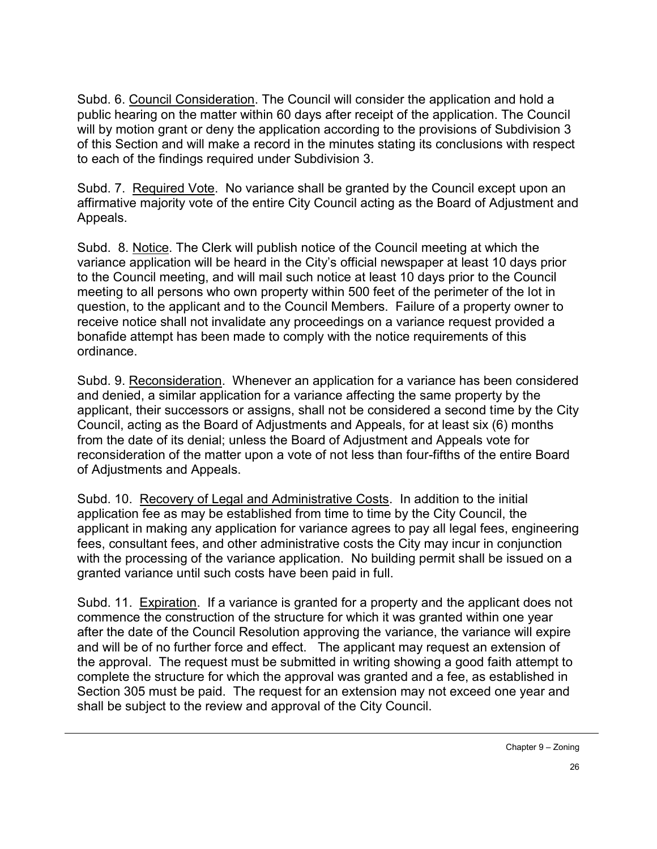Subd. 6. Council Consideration. The Council will consider the application and hold a public hearing on the matter within 60 days after receipt of the application. The Council will by motion grant or deny the application according to the provisions of Subdivision 3 of this Section and will make a record in the minutes stating its conclusions with respect to each of the findings required under Subdivision 3.

Subd. 7. Required Vote. No variance shall be granted by the Council except upon an affirmative majority vote of the entire City Council acting as the Board of Adjustment and Appeals.

Subd. 8. Notice. The Clerk will publish notice of the Council meeting at which the variance application will be heard in the City's official newspaper at least 10 days prior to the Council meeting, and will mail such notice at least 10 days prior to the Council meeting to all persons who own property within 500 feet of the perimeter of the lot in question, to the applicant and to the Council Members. Failure of a property owner to receive notice shall not invalidate any proceedings on a variance request provided a bonafide attempt has been made to comply with the notice requirements of this ordinance.

Subd. 9. Reconsideration. Whenever an application for a variance has been considered and denied, a similar application for a variance affecting the same property by the applicant, their successors or assigns, shall not be considered a second time by the City Council, acting as the Board of Adjustments and Appeals, for at least six (6) months from the date of its denial; unless the Board of Adjustment and Appeals vote for reconsideration of the matter upon a vote of not less than four-fifths of the entire Board of Adjustments and Appeals.

Subd. 10. Recovery of Legal and Administrative Costs. In addition to the initial application fee as may be established from time to time by the City Council, the applicant in making any application for variance agrees to pay all legal fees, engineering fees, consultant fees, and other administrative costs the City may incur in conjunction with the processing of the variance application. No building permit shall be issued on a granted variance until such costs have been paid in full.

Subd. 11. Expiration. If a variance is granted for a property and the applicant does not commence the construction of the structure for which it was granted within one year after the date of the Council Resolution approving the variance, the variance will expire and will be of no further force and effect. The applicant may request an extension of the approval. The request must be submitted in writing showing a good faith attempt to complete the structure for which the approval was granted and a fee, as established in Section 305 must be paid. The request for an extension may not exceed one year and shall be subject to the review and approval of the City Council.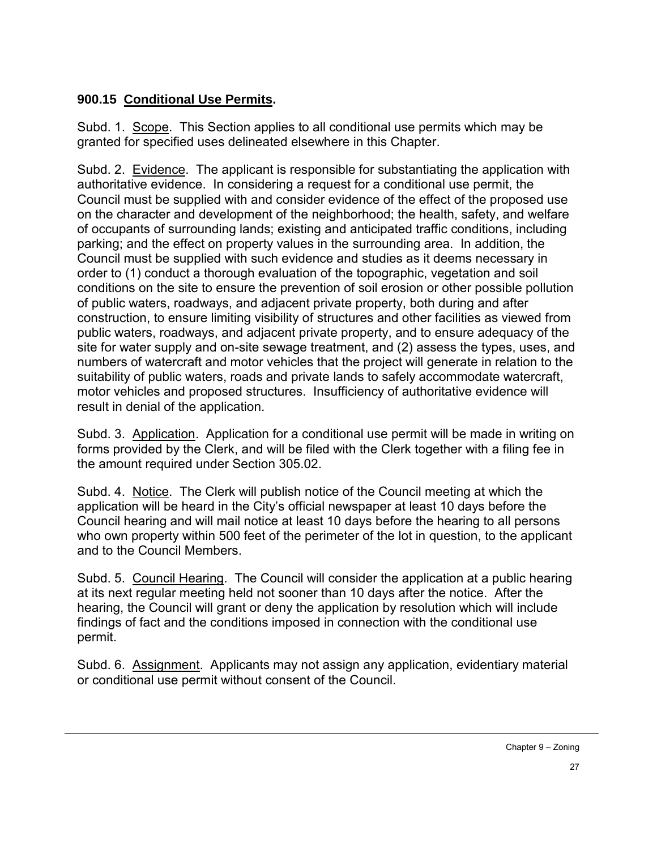## **900.15 Conditional Use Permits.**

Subd. 1. Scope. This Section applies to all conditional use permits which may be granted for specified uses delineated elsewhere in this Chapter.

Subd. 2. Evidence. The applicant is responsible for substantiating the application with authoritative evidence. In considering a request for a conditional use permit, the Council must be supplied with and consider evidence of the effect of the proposed use on the character and development of the neighborhood; the health, safety, and welfare of occupants of surrounding lands; existing and anticipated traffic conditions, including parking; and the effect on property values in the surrounding area. In addition, the Council must be supplied with such evidence and studies as it deems necessary in order to (1) conduct a thorough evaluation of the topographic, vegetation and soil conditions on the site to ensure the prevention of soil erosion or other possible pollution of public waters, roadways, and adjacent private property, both during and after construction, to ensure limiting visibility of structures and other facilities as viewed from public waters, roadways, and adjacent private property, and to ensure adequacy of the site for water supply and on-site sewage treatment, and (2) assess the types, uses, and numbers of watercraft and motor vehicles that the project will generate in relation to the suitability of public waters, roads and private lands to safely accommodate watercraft, motor vehicles and proposed structures. Insufficiency of authoritative evidence will result in denial of the application.

Subd. 3. Application. Application for a conditional use permit will be made in writing on forms provided by the Clerk, and will be filed with the Clerk together with a filing fee in the amount required under Section 305.02.

Subd. 4. Notice. The Clerk will publish notice of the Council meeting at which the application will be heard in the City's official newspaper at least 10 days before the Council hearing and will mail notice at least 10 days before the hearing to all persons who own property within 500 feet of the perimeter of the lot in question, to the applicant and to the Council Members.

Subd. 5. Council Hearing. The Council will consider the application at a public hearing at its next regular meeting held not sooner than 10 days after the notice. After the hearing, the Council will grant or deny the application by resolution which will include findings of fact and the conditions imposed in connection with the conditional use permit.

Subd. 6. Assignment. Applicants may not assign any application, evidentiary material or conditional use permit without consent of the Council.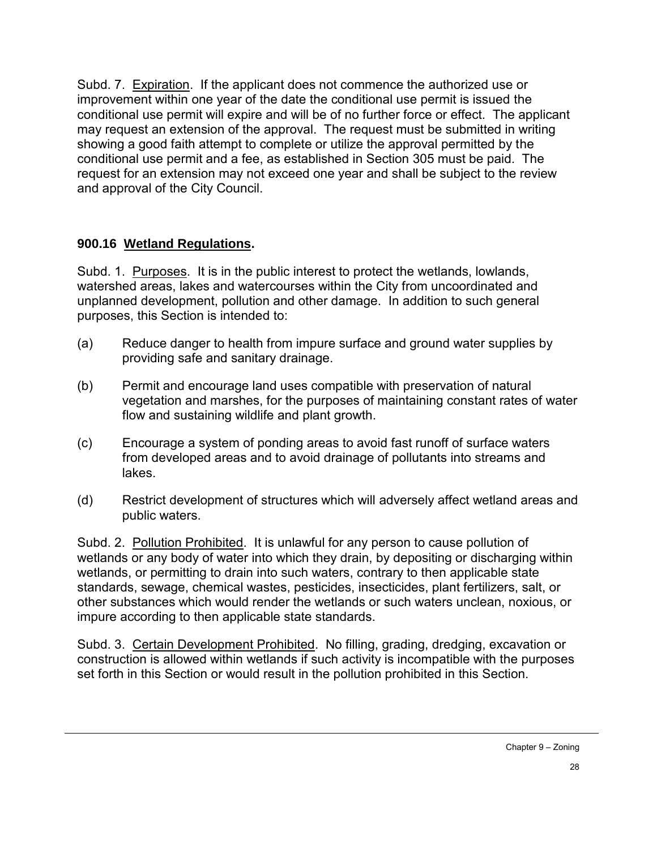Subd. 7. Expiration. If the applicant does not commence the authorized use or improvement within one year of the date the conditional use permit is issued the conditional use permit will expire and will be of no further force or effect. The applicant may request an extension of the approval. The request must be submitted in writing showing a good faith attempt to complete or utilize the approval permitted by the conditional use permit and a fee, as established in Section 305 must be paid. The request for an extension may not exceed one year and shall be subject to the review and approval of the City Council.

### **900.16 Wetland Regulations.**

Subd. 1. Purposes. It is in the public interest to protect the wetlands, lowlands, watershed areas, lakes and watercourses within the City from uncoordinated and unplanned development, pollution and other damage. In addition to such general purposes, this Section is intended to:

- (a) Reduce danger to health from impure surface and ground water supplies by providing safe and sanitary drainage.
- (b) Permit and encourage land uses compatible with preservation of natural vegetation and marshes, for the purposes of maintaining constant rates of water flow and sustaining wildlife and plant growth.
- (c) Encourage a system of ponding areas to avoid fast runoff of surface waters from developed areas and to avoid drainage of pollutants into streams and lakes.
- (d) Restrict development of structures which will adversely affect wetland areas and public waters.

Subd. 2. Pollution Prohibited. It is unlawful for any person to cause pollution of wetlands or any body of water into which they drain, by depositing or discharging within wetlands, or permitting to drain into such waters, contrary to then applicable state standards, sewage, chemical wastes, pesticides, insecticides, plant fertilizers, salt, or other substances which would render the wetlands or such waters unclean, noxious, or impure according to then applicable state standards.

Subd. 3. Certain Development Prohibited. No filling, grading, dredging, excavation or construction is allowed within wetlands if such activity is incompatible with the purposes set forth in this Section or would result in the pollution prohibited in this Section.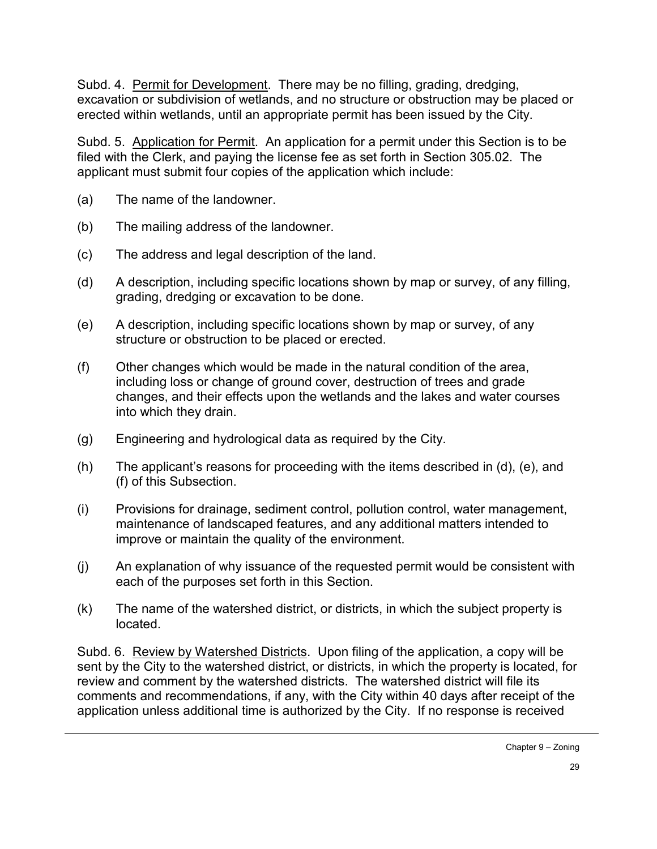Subd. 4. Permit for Development. There may be no filling, grading, dredging, excavation or subdivision of wetlands, and no structure or obstruction may be placed or erected within wetlands, until an appropriate permit has been issued by the City.

Subd. 5. Application for Permit. An application for a permit under this Section is to be filed with the Clerk, and paying the license fee as set forth in Section 305.02. The applicant must submit four copies of the application which include:

- (a) The name of the landowner.
- (b) The mailing address of the landowner.
- (c) The address and legal description of the land.
- (d) A description, including specific locations shown by map or survey, of any filling, grading, dredging or excavation to be done.
- (e) A description, including specific locations shown by map or survey, of any structure or obstruction to be placed or erected.
- (f) Other changes which would be made in the natural condition of the area, including loss or change of ground cover, destruction of trees and grade changes, and their effects upon the wetlands and the lakes and water courses into which they drain.
- (g) Engineering and hydrological data as required by the City.
- (h) The applicant's reasons for proceeding with the items described in (d), (e), and (f) of this Subsection.
- (i) Provisions for drainage, sediment control, pollution control, water management, maintenance of landscaped features, and any additional matters intended to improve or maintain the quality of the environment.
- (j) An explanation of why issuance of the requested permit would be consistent with each of the purposes set forth in this Section.
- (k) The name of the watershed district, or districts, in which the subject property is located.

Subd. 6. Review by Watershed Districts. Upon filing of the application, a copy will be sent by the City to the watershed district, or districts, in which the property is located, for review and comment by the watershed districts. The watershed district will file its comments and recommendations, if any, with the City within 40 days after receipt of the application unless additional time is authorized by the City. If no response is received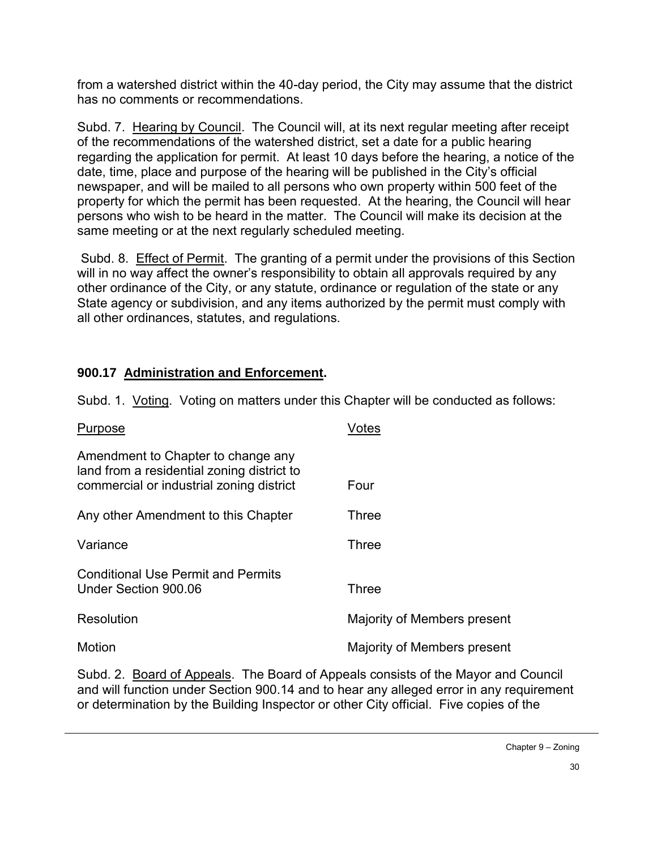from a watershed district within the 40-day period, the City may assume that the district has no comments or recommendations.

Subd. 7. Hearing by Council. The Council will, at its next regular meeting after receipt of the recommendations of the watershed district, set a date for a public hearing regarding the application for permit. At least 10 days before the hearing, a notice of the date, time, place and purpose of the hearing will be published in the City's official newspaper, and will be mailed to all persons who own property within 500 feet of the property for which the permit has been requested. At the hearing, the Council will hear persons who wish to be heard in the matter. The Council will make its decision at the same meeting or at the next regularly scheduled meeting.

Subd. 8. Effect of Permit. The granting of a permit under the provisions of this Section will in no way affect the owner's responsibility to obtain all approvals required by any other ordinance of the City, or any statute, ordinance or regulation of the state or any State agency or subdivision, and any items authorized by the permit must comply with all other ordinances, statutes, and regulations.

## **900.17 Administration and Enforcement.**

Subd. 1. Voting. Voting on matters under this Chapter will be conducted as follows:

| Purpose                                                                                                                      | Votes                       |
|------------------------------------------------------------------------------------------------------------------------------|-----------------------------|
| Amendment to Chapter to change any<br>land from a residential zoning district to<br>commercial or industrial zoning district | Four                        |
| Any other Amendment to this Chapter                                                                                          | Three                       |
| Variance                                                                                                                     | <b>Three</b>                |
| <b>Conditional Use Permit and Permits</b><br>Under Section 900.06                                                            | Three                       |
| Resolution                                                                                                                   | Majority of Members present |
| Motion                                                                                                                       | Majority of Members present |

Subd. 2. Board of Appeals. The Board of Appeals consists of the Mayor and Council and will function under Section 900.14 and to hear any alleged error in any requirement or determination by the Building Inspector or other City official. Five copies of the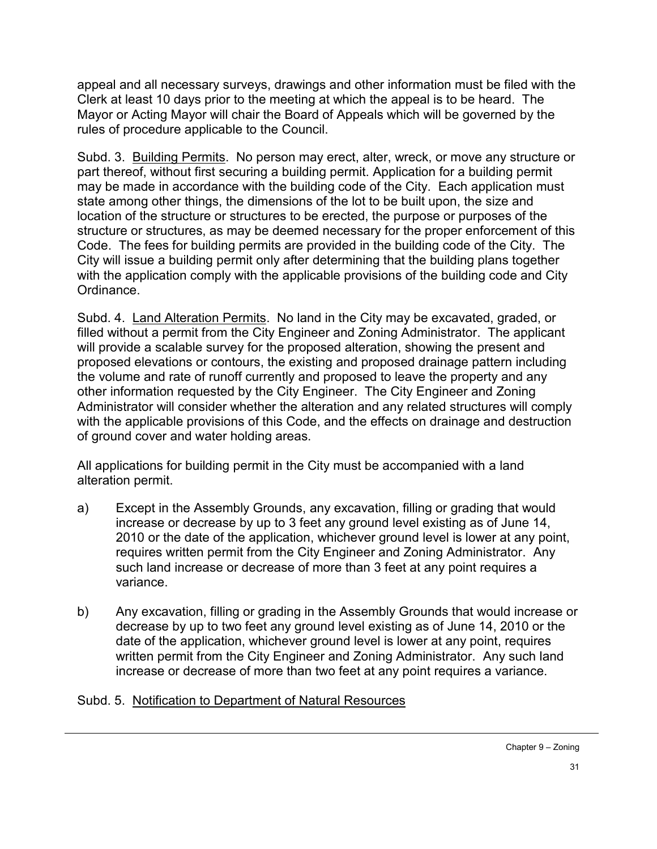appeal and all necessary surveys, drawings and other information must be filed with the Clerk at least 10 days prior to the meeting at which the appeal is to be heard. The Mayor or Acting Mayor will chair the Board of Appeals which will be governed by the rules of procedure applicable to the Council.

Subd. 3. Building Permits. No person may erect, alter, wreck, or move any structure or part thereof, without first securing a building permit. Application for a building permit may be made in accordance with the building code of the City. Each application must state among other things, the dimensions of the lot to be built upon, the size and location of the structure or structures to be erected, the purpose or purposes of the structure or structures, as may be deemed necessary for the proper enforcement of this Code. The fees for building permits are provided in the building code of the City. The City will issue a building permit only after determining that the building plans together with the application comply with the applicable provisions of the building code and City Ordinance.

Subd. 4. Land Alteration Permits. No land in the City may be excavated, graded, or filled without a permit from the City Engineer and Zoning Administrator. The applicant will provide a scalable survey for the proposed alteration, showing the present and proposed elevations or contours, the existing and proposed drainage pattern including the volume and rate of runoff currently and proposed to leave the property and any other information requested by the City Engineer. The City Engineer and Zoning Administrator will consider whether the alteration and any related structures will comply with the applicable provisions of this Code, and the effects on drainage and destruction of ground cover and water holding areas.

All applications for building permit in the City must be accompanied with a land alteration permit.

- a) Except in the Assembly Grounds, any excavation, filling or grading that would increase or decrease by up to 3 feet any ground level existing as of June 14, 2010 or the date of the application, whichever ground level is lower at any point, requires written permit from the City Engineer and Zoning Administrator. Any such land increase or decrease of more than 3 feet at any point requires a variance.
- b) Any excavation, filling or grading in the Assembly Grounds that would increase or decrease by up to two feet any ground level existing as of June 14, 2010 or the date of the application, whichever ground level is lower at any point, requires written permit from the City Engineer and Zoning Administrator. Any such land increase or decrease of more than two feet at any point requires a variance.

#### Subd. 5. Notification to Department of Natural Resources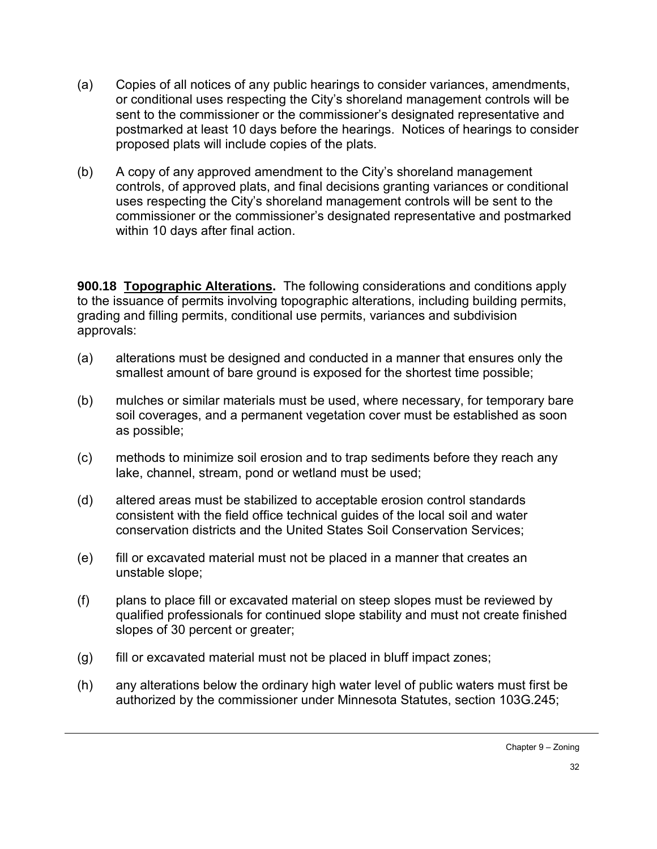- (a) Copies of all notices of any public hearings to consider variances, amendments, or conditional uses respecting the City's shoreland management controls will be sent to the commissioner or the commissioner's designated representative and postmarked at least 10 days before the hearings. Notices of hearings to consider proposed plats will include copies of the plats.
- (b) A copy of any approved amendment to the City's shoreland management controls, of approved plats, and final decisions granting variances or conditional uses respecting the City's shoreland management controls will be sent to the commissioner or the commissioner's designated representative and postmarked within 10 days after final action.

**900.18 Topographic Alterations.** The following considerations and conditions apply to the issuance of permits involving topographic alterations, including building permits, grading and filling permits, conditional use permits, variances and subdivision approvals:

- (a) alterations must be designed and conducted in a manner that ensures only the smallest amount of bare ground is exposed for the shortest time possible;
- (b) mulches or similar materials must be used, where necessary, for temporary bare soil coverages, and a permanent vegetation cover must be established as soon as possible;
- (c) methods to minimize soil erosion and to trap sediments before they reach any lake, channel, stream, pond or wetland must be used;
- (d) altered areas must be stabilized to acceptable erosion control standards consistent with the field office technical guides of the local soil and water conservation districts and the United States Soil Conservation Services;
- (e) fill or excavated material must not be placed in a manner that creates an unstable slope;
- (f) plans to place fill or excavated material on steep slopes must be reviewed by qualified professionals for continued slope stability and must not create finished slopes of 30 percent or greater;
- (g) fill or excavated material must not be placed in bluff impact zones;
- (h) any alterations below the ordinary high water level of public waters must first be authorized by the commissioner under Minnesota Statutes, section 103G.245;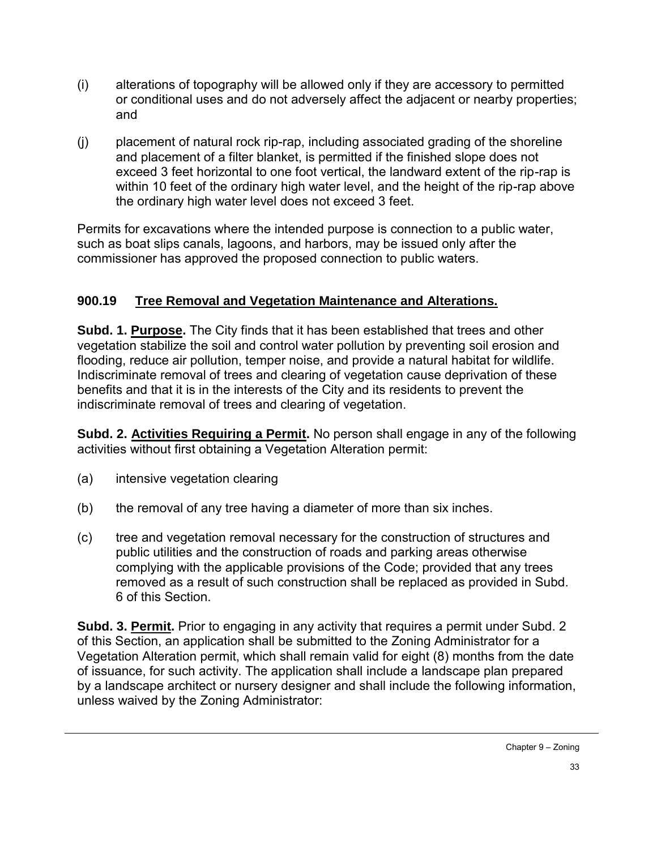- (i) alterations of topography will be allowed only if they are accessory to permitted or conditional uses and do not adversely affect the adjacent or nearby properties; and
- (j) placement of natural rock rip-rap, including associated grading of the shoreline and placement of a filter blanket, is permitted if the finished slope does not exceed 3 feet horizontal to one foot vertical, the landward extent of the rip-rap is within 10 feet of the ordinary high water level, and the height of the rip-rap above the ordinary high water level does not exceed 3 feet.

Permits for excavations where the intended purpose is connection to a public water, such as boat slips canals, lagoons, and harbors, may be issued only after the commissioner has approved the proposed connection to public waters.

## **900.19 Tree Removal and Vegetation Maintenance and Alterations.**

**Subd. 1. Purpose.** The City finds that it has been established that trees and other vegetation stabilize the soil and control water pollution by preventing soil erosion and flooding, reduce air pollution, temper noise, and provide a natural habitat for wildlife. Indiscriminate removal of trees and clearing of vegetation cause deprivation of these benefits and that it is in the interests of the City and its residents to prevent the indiscriminate removal of trees and clearing of vegetation.

**Subd. 2. Activities Requiring a Permit.** No person shall engage in any of the following activities without first obtaining a Vegetation Alteration permit:

- (a) intensive vegetation clearing
- (b) the removal of any tree having a diameter of more than six inches.
- (c) tree and vegetation removal necessary for the construction of structures and public utilities and the construction of roads and parking areas otherwise complying with the applicable provisions of the Code; provided that any trees removed as a result of such construction shall be replaced as provided in Subd. 6 of this Section.

**Subd. 3. Permit.** Prior to engaging in any activity that requires a permit under Subd. 2 of this Section, an application shall be submitted to the Zoning Administrator for a Vegetation Alteration permit, which shall remain valid for eight (8) months from the date of issuance, for such activity. The application shall include a landscape plan prepared by a landscape architect or nursery designer and shall include the following information, unless waived by the Zoning Administrator: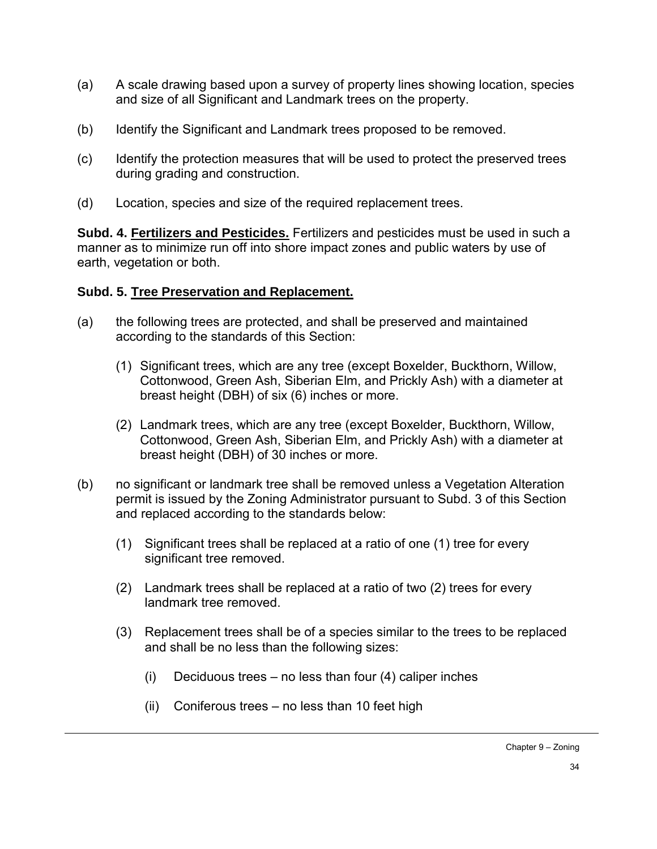- (a) A scale drawing based upon a survey of property lines showing location, species and size of all Significant and Landmark trees on the property.
- (b) Identify the Significant and Landmark trees proposed to be removed.
- (c) Identify the protection measures that will be used to protect the preserved trees during grading and construction.
- (d) Location, species and size of the required replacement trees.

**Subd. 4. Fertilizers and Pesticides.** Fertilizers and pesticides must be used in such a manner as to minimize run off into shore impact zones and public waters by use of earth, vegetation or both.

### **Subd. 5. Tree Preservation and Replacement.**

- (a) the following trees are protected, and shall be preserved and maintained according to the standards of this Section:
	- (1) Significant trees, which are any tree (except Boxelder, Buckthorn, Willow, Cottonwood, Green Ash, Siberian Elm, and Prickly Ash) with a diameter at breast height (DBH) of six (6) inches or more.
	- (2) Landmark trees, which are any tree (except Boxelder, Buckthorn, Willow, Cottonwood, Green Ash, Siberian Elm, and Prickly Ash) with a diameter at breast height (DBH) of 30 inches or more.
- (b) no significant or landmark tree shall be removed unless a Vegetation Alteration permit is issued by the Zoning Administrator pursuant to Subd. 3 of this Section and replaced according to the standards below:
	- (1) Significant trees shall be replaced at a ratio of one (1) tree for every significant tree removed.
	- (2) Landmark trees shall be replaced at a ratio of two (2) trees for every landmark tree removed.
	- (3) Replacement trees shall be of a species similar to the trees to be replaced and shall be no less than the following sizes:
		- (i) Deciduous trees no less than four  $(4)$  caliper inches
		- (ii) Coniferous trees no less than 10 feet high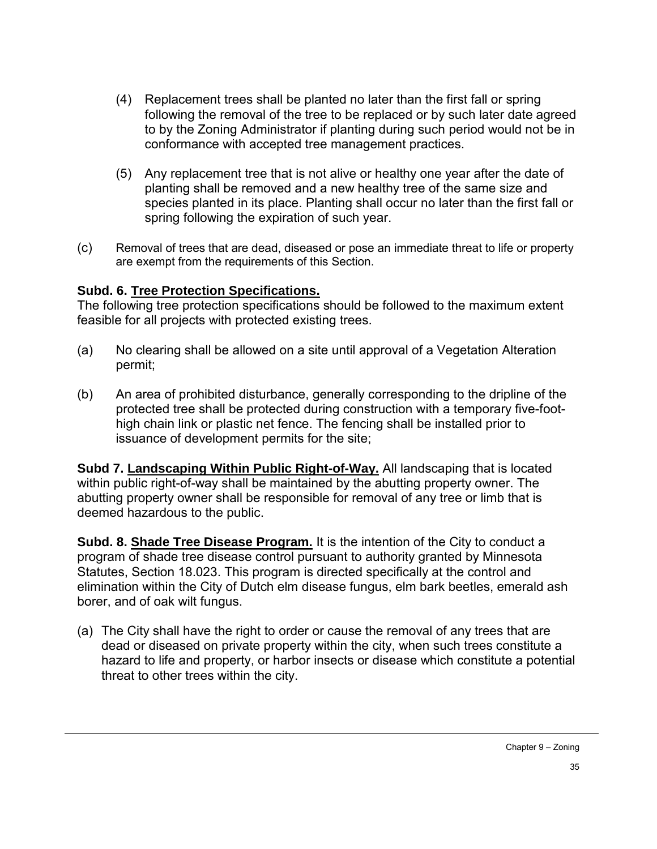- (4) Replacement trees shall be planted no later than the first fall or spring following the removal of the tree to be replaced or by such later date agreed to by the Zoning Administrator if planting during such period would not be in conformance with accepted tree management practices.
- (5) Any replacement tree that is not alive or healthy one year after the date of planting shall be removed and a new healthy tree of the same size and species planted in its place. Planting shall occur no later than the first fall or spring following the expiration of such year.
- (c) Removal of trees that are dead, diseased or pose an immediate threat to life or property are exempt from the requirements of this Section.

## **Subd. 6. Tree Protection Specifications.**

The following tree protection specifications should be followed to the maximum extent feasible for all projects with protected existing trees.

- (a) No clearing shall be allowed on a site until approval of a Vegetation Alteration permit;
- (b) An area of prohibited disturbance, generally corresponding to the dripline of the protected tree shall be protected during construction with a temporary five-foothigh chain link or plastic net fence. The fencing shall be installed prior to issuance of development permits for the site;

**Subd 7. Landscaping Within Public Right-of-Way.** All landscaping that is located within public right-of-way shall be maintained by the abutting property owner. The abutting property owner shall be responsible for removal of any tree or limb that is deemed hazardous to the public.

**Subd. 8. Shade Tree Disease Program.** It is the intention of the City to conduct a program of shade tree disease control pursuant to authority granted by Minnesota Statutes, Section 18.023. This program is directed specifically at the control and elimination within the City of Dutch elm disease fungus, elm bark beetles, emerald ash borer, and of oak wilt fungus.

(a) The City shall have the right to order or cause the removal of any trees that are dead or diseased on private property within the city, when such trees constitute a hazard to life and property, or harbor insects or disease which constitute a potential threat to other trees within the city.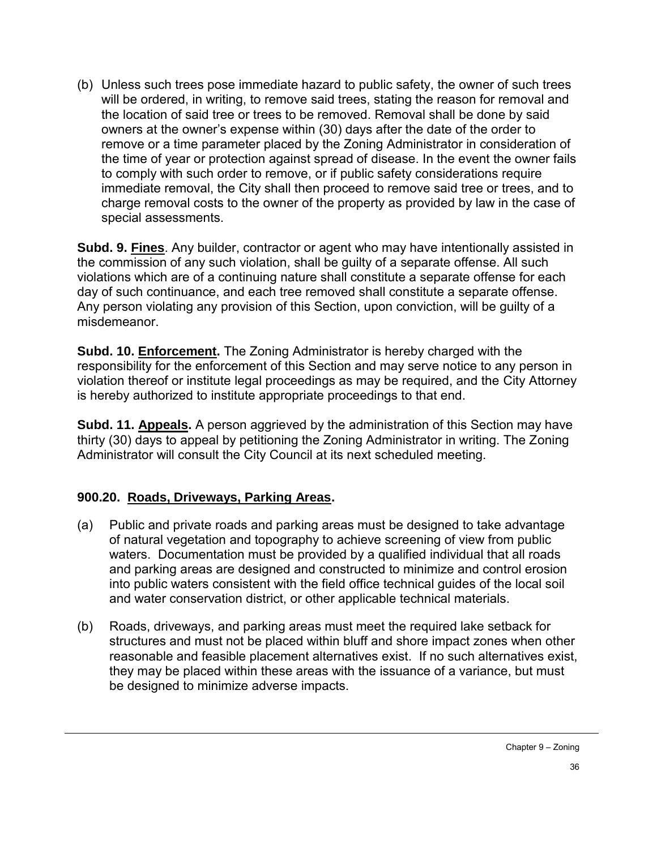(b) Unless such trees pose immediate hazard to public safety, the owner of such trees will be ordered, in writing, to remove said trees, stating the reason for removal and the location of said tree or trees to be removed. Removal shall be done by said owners at the owner's expense within (30) days after the date of the order to remove or a time parameter placed by the Zoning Administrator in consideration of the time of year or protection against spread of disease. In the event the owner fails to comply with such order to remove, or if public safety considerations require immediate removal, the City shall then proceed to remove said tree or trees, and to charge removal costs to the owner of the property as provided by law in the case of special assessments.

**Subd. 9. Fines**. Any builder, contractor or agent who may have intentionally assisted in the commission of any such violation, shall be guilty of a separate offense. All such violations which are of a continuing nature shall constitute a separate offense for each day of such continuance, and each tree removed shall constitute a separate offense. Any person violating any provision of this Section, upon conviction, will be guilty of a misdemeanor.

**Subd. 10. Enforcement.** The Zoning Administrator is hereby charged with the responsibility for the enforcement of this Section and may serve notice to any person in violation thereof or institute legal proceedings as may be required, and the City Attorney is hereby authorized to institute appropriate proceedings to that end.

**Subd. 11. Appeals.** A person aggrieved by the administration of this Section may have thirty (30) days to appeal by petitioning the Zoning Administrator in writing. The Zoning Administrator will consult the City Council at its next scheduled meeting.

### **900.20. Roads, Driveways, Parking Areas.**

- (a) Public and private roads and parking areas must be designed to take advantage of natural vegetation and topography to achieve screening of view from public waters. Documentation must be provided by a qualified individual that all roads and parking areas are designed and constructed to minimize and control erosion into public waters consistent with the field office technical guides of the local soil and water conservation district, or other applicable technical materials.
- (b) Roads, driveways, and parking areas must meet the required lake setback for structures and must not be placed within bluff and shore impact zones when other reasonable and feasible placement alternatives exist. If no such alternatives exist, they may be placed within these areas with the issuance of a variance, but must be designed to minimize adverse impacts.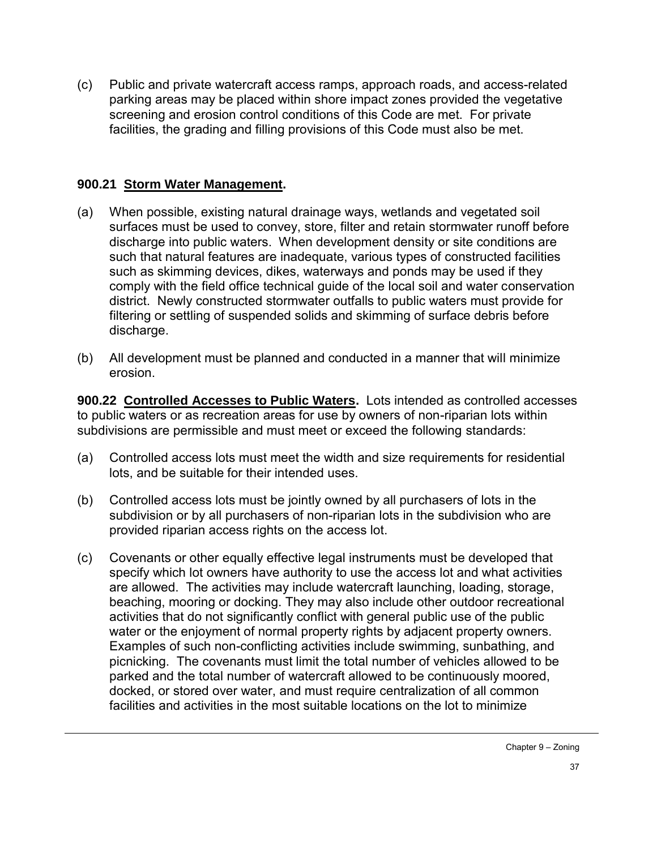(c) Public and private watercraft access ramps, approach roads, and access-related parking areas may be placed within shore impact zones provided the vegetative screening and erosion control conditions of this Code are met. For private facilities, the grading and filling provisions of this Code must also be met.

#### **900.21 Storm Water Management.**

- (a) When possible, existing natural drainage ways, wetlands and vegetated soil surfaces must be used to convey, store, filter and retain stormwater runoff before discharge into public waters. When development density or site conditions are such that natural features are inadequate, various types of constructed facilities such as skimming devices, dikes, waterways and ponds may be used if they comply with the field office technical guide of the local soil and water conservation district. Newly constructed stormwater outfalls to public waters must provide for filtering or settling of suspended solids and skimming of surface debris before discharge.
- (b) All development must be planned and conducted in a manner that will minimize erosion.

**900.22 Controlled Accesses to Public Waters.** Lots intended as controlled accesses to public waters or as recreation areas for use by owners of non-riparian lots within subdivisions are permissible and must meet or exceed the following standards:

- (a) Controlled access lots must meet the width and size requirements for residential lots, and be suitable for their intended uses.
- (b) Controlled access lots must be jointly owned by all purchasers of lots in the subdivision or by all purchasers of non-riparian lots in the subdivision who are provided riparian access rights on the access lot.
- (c) Covenants or other equally effective legal instruments must be developed that specify which lot owners have authority to use the access lot and what activities are allowed. The activities may include watercraft launching, loading, storage, beaching, mooring or docking. They may also include other outdoor recreational activities that do not significantly conflict with general public use of the public water or the enjoyment of normal property rights by adjacent property owners. Examples of such non-conflicting activities include swimming, sunbathing, and picnicking. The covenants must limit the total number of vehicles allowed to be parked and the total number of watercraft allowed to be continuously moored, docked, or stored over water, and must require centralization of all common facilities and activities in the most suitable locations on the lot to minimize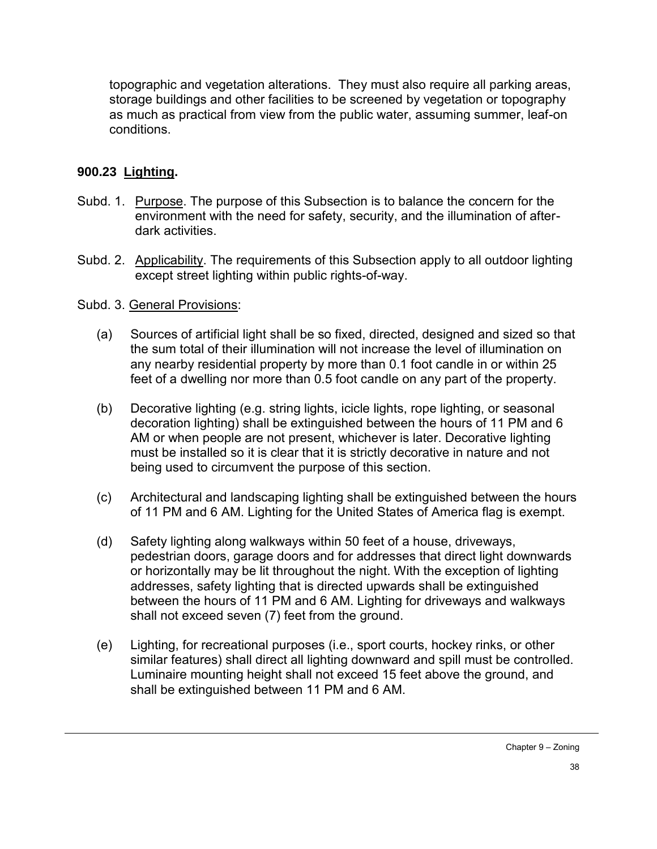topographic and vegetation alterations. They must also require all parking areas, storage buildings and other facilities to be screened by vegetation or topography as much as practical from view from the public water, assuming summer, leaf-on conditions.

## **900.23 Lighting.**

- Subd. 1. Purpose. The purpose of this Subsection is to balance the concern for the environment with the need for safety, security, and the illumination of afterdark activities.
- Subd. 2. Applicability. The requirements of this Subsection apply to all outdoor lighting except street lighting within public rights-of-way.

### Subd. 3. General Provisions:

- (a) Sources of artificial light shall be so fixed, directed, designed and sized so that the sum total of their illumination will not increase the level of illumination on any nearby residential property by more than 0.1 foot candle in or within 25 feet of a dwelling nor more than 0.5 foot candle on any part of the property.
- (b) Decorative lighting (e.g. string lights, icicle lights, rope lighting, or seasonal decoration lighting) shall be extinguished between the hours of 11 PM and 6 AM or when people are not present, whichever is later. Decorative lighting must be installed so it is clear that it is strictly decorative in nature and not being used to circumvent the purpose of this section.
- (c) Architectural and landscaping lighting shall be extinguished between the hours of 11 PM and 6 AM. Lighting for the United States of America flag is exempt.
- (d) Safety lighting along walkways within 50 feet of a house, driveways, pedestrian doors, garage doors and for addresses that direct light downwards or horizontally may be lit throughout the night. With the exception of lighting addresses, safety lighting that is directed upwards shall be extinguished between the hours of 11 PM and 6 AM. Lighting for driveways and walkways shall not exceed seven (7) feet from the ground.
- (e) Lighting, for recreational purposes (i.e., sport courts, hockey rinks, or other similar features) shall direct all lighting downward and spill must be controlled. Luminaire mounting height shall not exceed 15 feet above the ground, and shall be extinguished between 11 PM and 6 AM.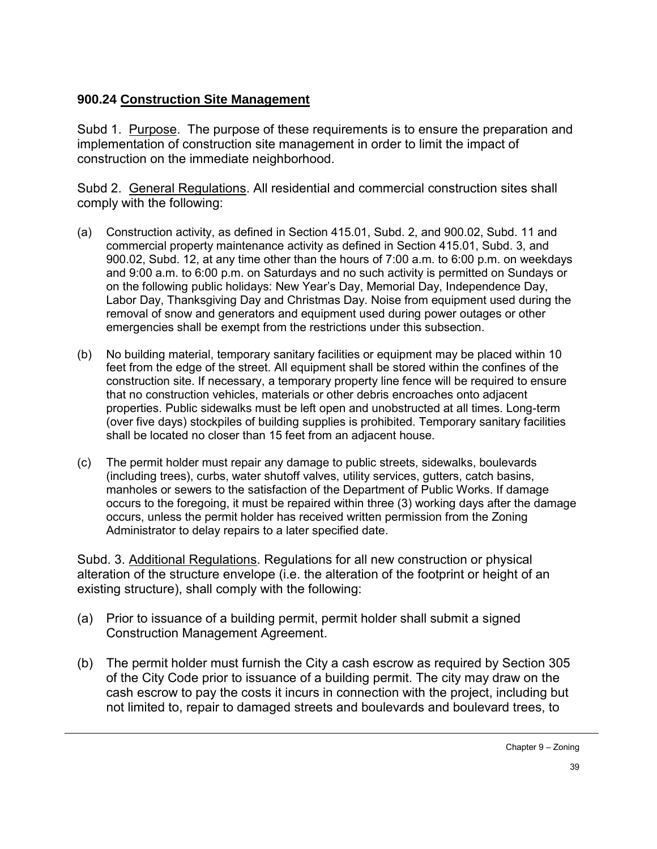## **900.24 Construction Site Management**

Subd 1. Purpose. The purpose of these requirements is to ensure the preparation and implementation of construction site management in order to limit the impact of construction on the immediate neighborhood.

Subd 2. General Regulations. All residential and commercial construction sites shall comply with the following:

- (a) Construction activity, as defined in Section 415.01, Subd. 2, and 900.02, Subd. 11 and commercial property maintenance activity as defined in Section 415.01, Subd. 3, and 900.02, Subd. 12, at any time other than the hours of 7:00 a.m. to 6:00 p.m. on weekdays and 9:00 a.m. to 6:00 p.m. on Saturdays and no such activity is permitted on Sundays or on the following public holidays: New Year's Day, Memorial Day, Independence Day, Labor Day, Thanksgiving Day and Christmas Day. Noise from equipment used during the removal of snow and generators and equipment used during power outages or other emergencies shall be exempt from the restrictions under this subsection.
- (b) No building material, temporary sanitary facilities or equipment may be placed within 10 feet from the edge of the street. All equipment shall be stored within the confines of the construction site. If necessary, a temporary property line fence will be required to ensure that no construction vehicles, materials or other debris encroaches onto adjacent properties. Public sidewalks must be left open and unobstructed at all times. Long-term (over five days) stockpiles of building supplies is prohibited. Temporary sanitary facilities shall be located no closer than 15 feet from an adjacent house.
- (c) The permit holder must repair any damage to public streets, sidewalks, boulevards (including trees), curbs, water shutoff valves, utility services, gutters, catch basins, manholes or sewers to the satisfaction of the Department of Public Works. If damage occurs to the foregoing, it must be repaired within three (3) working days after the damage occurs, unless the permit holder has received written permission from the Zoning Administrator to delay repairs to a later specified date.

Subd. 3. Additional Regulations. Regulations for all new construction or physical alteration of the structure envelope (i.e. the alteration of the footprint or height of an existing structure), shall comply with the following:

- (a) Prior to issuance of a building permit, permit holder shall submit a signed Construction Management Agreement.
- (b) The permit holder must furnish the City a cash escrow as required by Section 305 of the City Code prior to issuance of a building permit. The city may draw on the cash escrow to pay the costs it incurs in connection with the project, including but not limited to, repair to damaged streets and boulevards and boulevard trees, to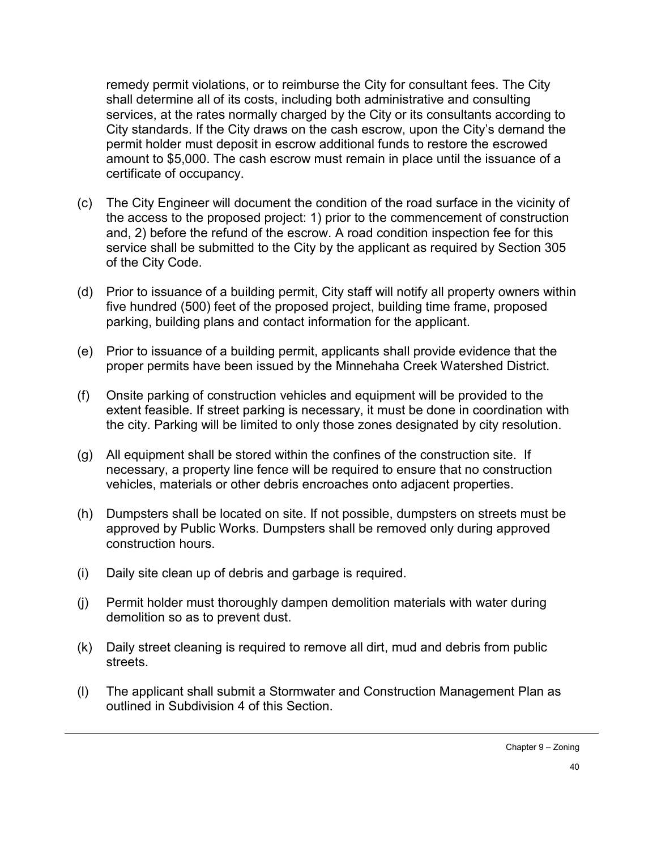remedy permit violations, or to reimburse the City for consultant fees. The City shall determine all of its costs, including both administrative and consulting services, at the rates normally charged by the City or its consultants according to City standards. If the City draws on the cash escrow, upon the City's demand the permit holder must deposit in escrow additional funds to restore the escrowed amount to \$5,000. The cash escrow must remain in place until the issuance of a certificate of occupancy.

- (c) The City Engineer will document the condition of the road surface in the vicinity of the access to the proposed project: 1) prior to the commencement of construction and, 2) before the refund of the escrow. A road condition inspection fee for this service shall be submitted to the City by the applicant as required by Section 305 of the City Code.
- (d) Prior to issuance of a building permit, City staff will notify all property owners within five hundred (500) feet of the proposed project, building time frame, proposed parking, building plans and contact information for the applicant.
- (e) Prior to issuance of a building permit, applicants shall provide evidence that the proper permits have been issued by the Minnehaha Creek Watershed District.
- (f) Onsite parking of construction vehicles and equipment will be provided to the extent feasible. If street parking is necessary, it must be done in coordination with the city. Parking will be limited to only those zones designated by city resolution.
- (g) All equipment shall be stored within the confines of the construction site. If necessary, a property line fence will be required to ensure that no construction vehicles, materials or other debris encroaches onto adjacent properties.
- (h) Dumpsters shall be located on site. If not possible, dumpsters on streets must be approved by Public Works. Dumpsters shall be removed only during approved construction hours.
- (i) Daily site clean up of debris and garbage is required.
- (j) Permit holder must thoroughly dampen demolition materials with water during demolition so as to prevent dust.
- (k) Daily street cleaning is required to remove all dirt, mud and debris from public streets.
- (l) The applicant shall submit a Stormwater and Construction Management Plan as outlined in Subdivision 4 of this Section.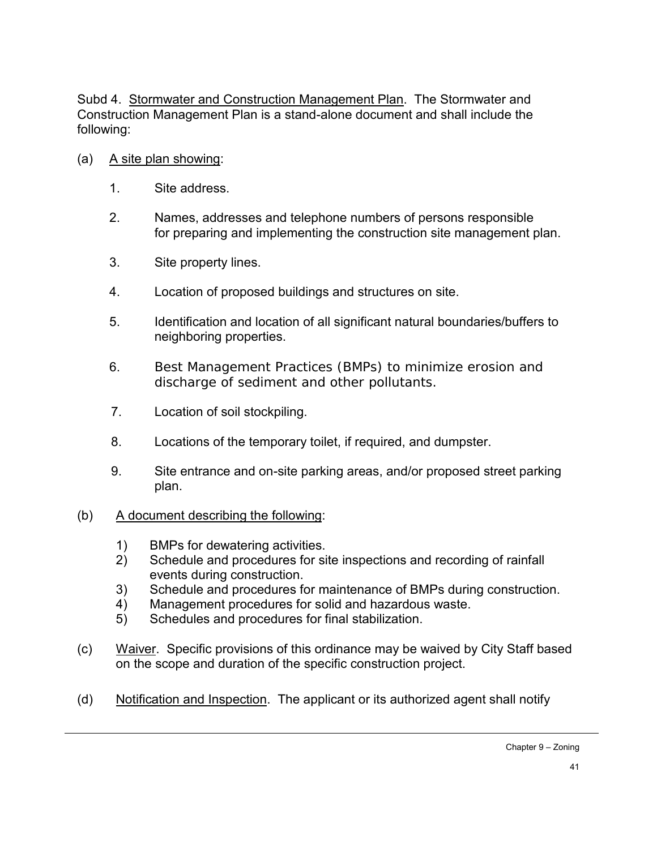Subd 4. Stormwater and Construction Management Plan. The Stormwater and Construction Management Plan is a stand-alone document and shall include the following:

- (a) A site plan showing:
	- 1. Site address.
	- 2. Names, addresses and telephone numbers of persons responsible for preparing and implementing the construction site management plan.
	- 3. Site property lines.
	- 4. Location of proposed buildings and structures on site.
	- 5. Identification and location of all significant natural boundaries/buffers to neighboring properties.
	- 6. Best Management Practices (BMPs) to minimize erosion and discharge of sediment and other pollutants.
	- 7. Location of soil stockpiling.
	- 8. Locations of the temporary toilet, if required, and dumpster.
	- 9. Site entrance and on-site parking areas, and/or proposed street parking plan.
- (b) A document describing the following:
	- 1) BMPs for dewatering activities.
	- 2) Schedule and procedures for site inspections and recording of rainfall events during construction.
	- 3) Schedule and procedures for maintenance of BMPs during construction.
	- 4) Management procedures for solid and hazardous waste.
	- 5) Schedules and procedures for final stabilization.
- (c) Waiver. Specific provisions of this ordinance may be waived by City Staff based on the scope and duration of the specific construction project.
- (d) Notification and Inspection. The applicant or its authorized agent shall notify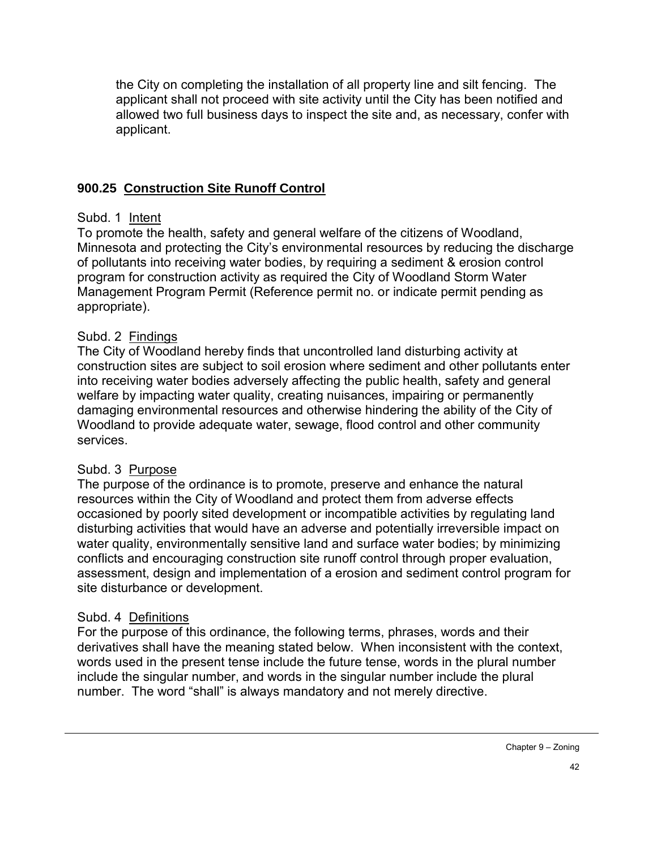the City on completing the installation of all property line and silt fencing. The applicant shall not proceed with site activity until the City has been notified and allowed two full business days to inspect the site and, as necessary, confer with applicant.

#### **900.25 Construction Site Runoff Control**

#### Subd. 1 Intent

To promote the health, safety and general welfare of the citizens of Woodland, Minnesota and protecting the City's environmental resources by reducing the discharge of pollutants into receiving water bodies, by requiring a sediment & erosion control program for construction activity as required the City of Woodland Storm Water Management Program Permit (Reference permit no. or indicate permit pending as appropriate).

#### Subd. 2 Findings

The City of Woodland hereby finds that uncontrolled land disturbing activity at construction sites are subject to soil erosion where sediment and other pollutants enter into receiving water bodies adversely affecting the public health, safety and general welfare by impacting water quality, creating nuisances, impairing or permanently damaging environmental resources and otherwise hindering the ability of the City of Woodland to provide adequate water, sewage, flood control and other community services.

#### Subd. 3 Purpose

The purpose of the ordinance is to promote, preserve and enhance the natural resources within the City of Woodland and protect them from adverse effects occasioned by poorly sited development or incompatible activities by regulating land disturbing activities that would have an adverse and potentially irreversible impact on water quality, environmentally sensitive land and surface water bodies; by minimizing conflicts and encouraging construction site runoff control through proper evaluation, assessment, design and implementation of a erosion and sediment control program for site disturbance or development.

#### Subd. 4 Definitions

For the purpose of this ordinance, the following terms, phrases, words and their derivatives shall have the meaning stated below. When inconsistent with the context, words used in the present tense include the future tense, words in the plural number include the singular number, and words in the singular number include the plural number. The word "shall" is always mandatory and not merely directive.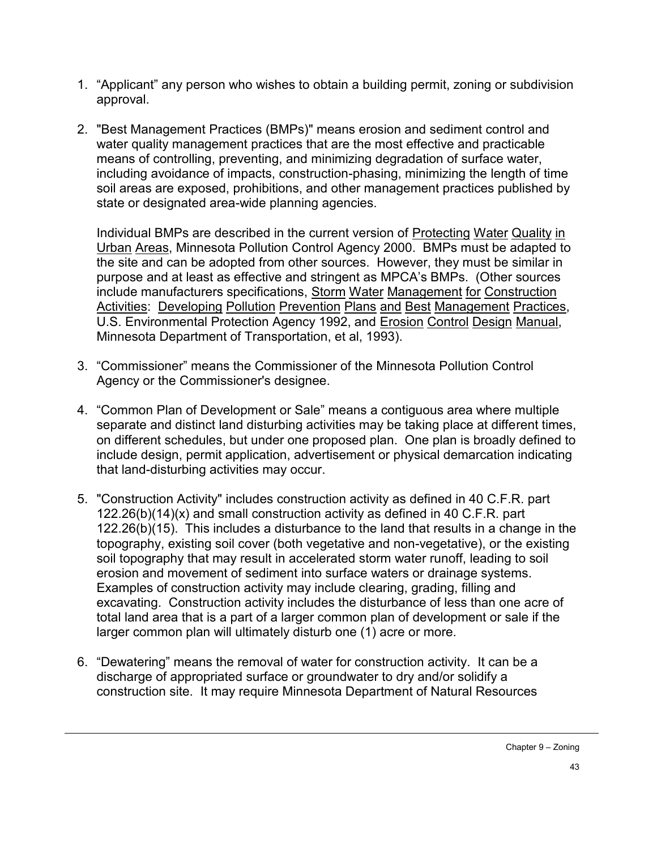- 1. "Applicant" any person who wishes to obtain a building permit, zoning or subdivision approval.
- 2. "Best Management Practices (BMPs)" means erosion and sediment control and water quality management practices that are the most effective and practicable means of controlling, preventing, and minimizing degradation of surface water, including avoidance of impacts, construction-phasing, minimizing the length of time soil areas are exposed, prohibitions, and other management practices published by state or designated area-wide planning agencies.

Individual BMPs are described in the current version of Protecting Water Quality in Urban Areas, Minnesota Pollution Control Agency 2000. BMPs must be adapted to the site and can be adopted from other sources. However, they must be similar in purpose and at least as effective and stringent as MPCA's BMPs. (Other sources include manufacturers specifications, Storm Water Management for Construction Activities: Developing Pollution Prevention Plans and Best Management Practices, U.S. Environmental Protection Agency 1992, and Erosion Control Design Manual, Minnesota Department of Transportation, et al, 1993).

- 3. "Commissioner" means the Commissioner of the Minnesota Pollution Control Agency or the Commissioner's designee.
- 4. "Common Plan of Development or Sale" means a contiguous area where multiple separate and distinct land disturbing activities may be taking place at different times, on different schedules, but under one proposed plan. One plan is broadly defined to include design, permit application, advertisement or physical demarcation indicating that land-disturbing activities may occur.
- 5. "Construction Activity" includes construction activity as defined in 40 C.F.R. part 122.26(b)(14)(x) and small construction activity as defined in 40 C.F.R. part 122.26(b)(15). This includes a disturbance to the land that results in a change in the topography, existing soil cover (both vegetative and non-vegetative), or the existing soil topography that may result in accelerated storm water runoff, leading to soil erosion and movement of sediment into surface waters or drainage systems. Examples of construction activity may include clearing, grading, filling and excavating. Construction activity includes the disturbance of less than one acre of total land area that is a part of a larger common plan of development or sale if the larger common plan will ultimately disturb one (1) acre or more.
- 6. "Dewatering" means the removal of water for construction activity. It can be a discharge of appropriated surface or groundwater to dry and/or solidify a construction site. It may require Minnesota Department of Natural Resources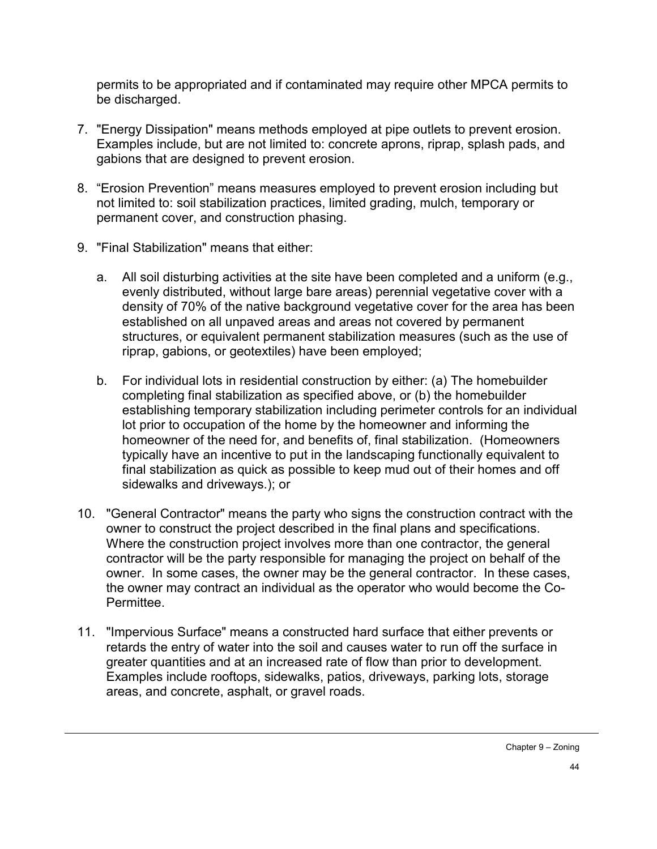permits to be appropriated and if contaminated may require other MPCA permits to be discharged.

- 7. "Energy Dissipation" means methods employed at pipe outlets to prevent erosion. Examples include, but are not limited to: concrete aprons, riprap, splash pads, and gabions that are designed to prevent erosion.
- 8. "Erosion Prevention" means measures employed to prevent erosion including but not limited to: soil stabilization practices, limited grading, mulch, temporary or permanent cover, and construction phasing.
- 9. "Final Stabilization" means that either:
	- a. All soil disturbing activities at the site have been completed and a uniform (e.g., evenly distributed, without large bare areas) perennial vegetative cover with a density of 70% of the native background vegetative cover for the area has been established on all unpaved areas and areas not covered by permanent structures, or equivalent permanent stabilization measures (such as the use of riprap, gabions, or geotextiles) have been employed;
	- b. For individual lots in residential construction by either: (a) The homebuilder completing final stabilization as specified above, or (b) the homebuilder establishing temporary stabilization including perimeter controls for an individual lot prior to occupation of the home by the homeowner and informing the homeowner of the need for, and benefits of, final stabilization. (Homeowners typically have an incentive to put in the landscaping functionally equivalent to final stabilization as quick as possible to keep mud out of their homes and off sidewalks and driveways.); or
- 10. "General Contractor" means the party who signs the construction contract with the owner to construct the project described in the final plans and specifications. Where the construction project involves more than one contractor, the general contractor will be the party responsible for managing the project on behalf of the owner. In some cases, the owner may be the general contractor. In these cases, the owner may contract an individual as the operator who would become the Co-Permittee.
- 11. "Impervious Surface" means a constructed hard surface that either prevents or retards the entry of water into the soil and causes water to run off the surface in greater quantities and at an increased rate of flow than prior to development. Examples include rooftops, sidewalks, patios, driveways, parking lots, storage areas, and concrete, asphalt, or gravel roads.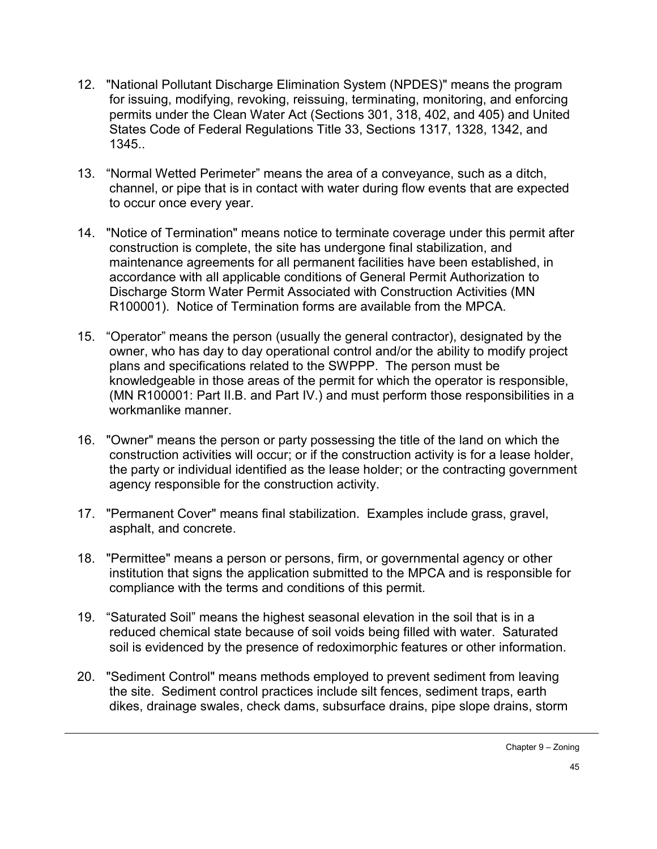- 12. "National Pollutant Discharge Elimination System (NPDES)" means the program for issuing, modifying, revoking, reissuing, terminating, monitoring, and enforcing permits under the Clean Water Act (Sections 301, 318, 402, and 405) and United States Code of Federal Regulations Title 33, Sections 1317, 1328, 1342, and 1345..
- 13. "Normal Wetted Perimeter" means the area of a conveyance, such as a ditch, channel, or pipe that is in contact with water during flow events that are expected to occur once every year.
- 14. "Notice of Termination" means notice to terminate coverage under this permit after construction is complete, the site has undergone final stabilization, and maintenance agreements for all permanent facilities have been established, in accordance with all applicable conditions of General Permit Authorization to Discharge Storm Water Permit Associated with Construction Activities (MN R100001). Notice of Termination forms are available from the MPCA.
- 15. "Operator" means the person (usually the general contractor), designated by the owner, who has day to day operational control and/or the ability to modify project plans and specifications related to the SWPPP. The person must be knowledgeable in those areas of the permit for which the operator is responsible, (MN R100001: Part II.B. and Part IV.) and must perform those responsibilities in a workmanlike manner.
- 16. "Owner" means the person or party possessing the title of the land on which the construction activities will occur; or if the construction activity is for a lease holder, the party or individual identified as the lease holder; or the contracting government agency responsible for the construction activity.
- 17. "Permanent Cover" means final stabilization. Examples include grass, gravel, asphalt, and concrete.
- 18. "Permittee" means a person or persons, firm, or governmental agency or other institution that signs the application submitted to the MPCA and is responsible for compliance with the terms and conditions of this permit.
- 19. "Saturated Soil" means the highest seasonal elevation in the soil that is in a reduced chemical state because of soil voids being filled with water. Saturated soil is evidenced by the presence of redoximorphic features or other information.
- 20. "Sediment Control" means methods employed to prevent sediment from leaving the site. Sediment control practices include silt fences, sediment traps, earth dikes, drainage swales, check dams, subsurface drains, pipe slope drains, storm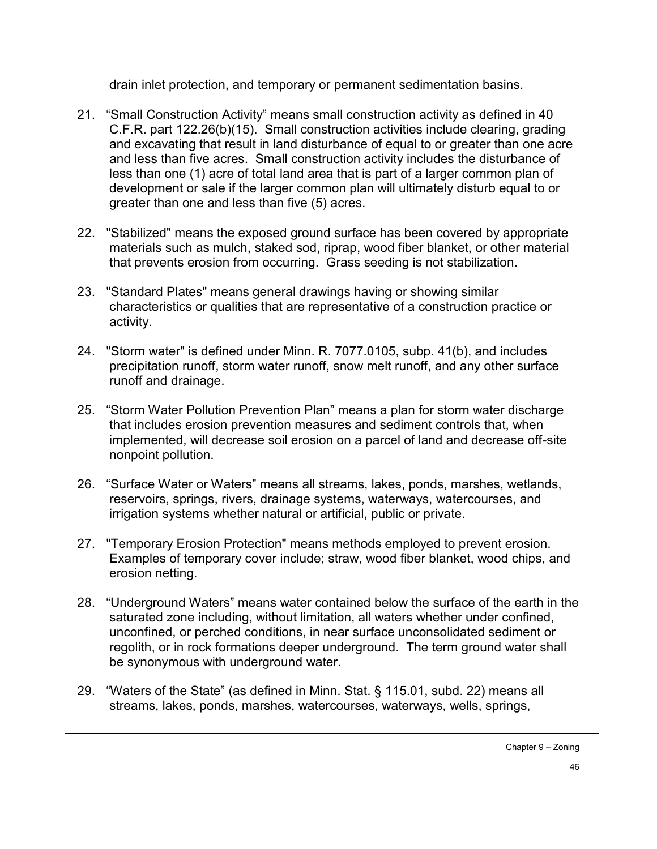drain inlet protection, and temporary or permanent sedimentation basins.

- 21. "Small Construction Activity" means small construction activity as defined in 40 C.F.R. part 122.26(b)(15). Small construction activities include clearing, grading and excavating that result in land disturbance of equal to or greater than one acre and less than five acres. Small construction activity includes the disturbance of less than one (1) acre of total land area that is part of a larger common plan of development or sale if the larger common plan will ultimately disturb equal to or greater than one and less than five (5) acres.
- 22. "Stabilized" means the exposed ground surface has been covered by appropriate materials such as mulch, staked sod, riprap, wood fiber blanket, or other material that prevents erosion from occurring. Grass seeding is not stabilization.
- 23. "Standard Plates" means general drawings having or showing similar characteristics or qualities that are representative of a construction practice or activity.
- 24. "Storm water" is defined under Minn. R. 7077.0105, subp. 41(b), and includes precipitation runoff, storm water runoff, snow melt runoff, and any other surface runoff and drainage.
- 25. "Storm Water Pollution Prevention Plan" means a plan for storm water discharge that includes erosion prevention measures and sediment controls that, when implemented, will decrease soil erosion on a parcel of land and decrease off-site nonpoint pollution.
- 26. "Surface Water or Waters" means all streams, lakes, ponds, marshes, wetlands, reservoirs, springs, rivers, drainage systems, waterways, watercourses, and irrigation systems whether natural or artificial, public or private.
- 27. "Temporary Erosion Protection" means methods employed to prevent erosion. Examples of temporary cover include; straw, wood fiber blanket, wood chips, and erosion netting.
- 28. "Underground Waters" means water contained below the surface of the earth in the saturated zone including, without limitation, all waters whether under confined, unconfined, or perched conditions, in near surface unconsolidated sediment or regolith, or in rock formations deeper underground. The term ground water shall be synonymous with underground water.
- 29. "Waters of the State" (as defined in Minn. Stat. § 115.01, subd. 22) means all streams, lakes, ponds, marshes, watercourses, waterways, wells, springs,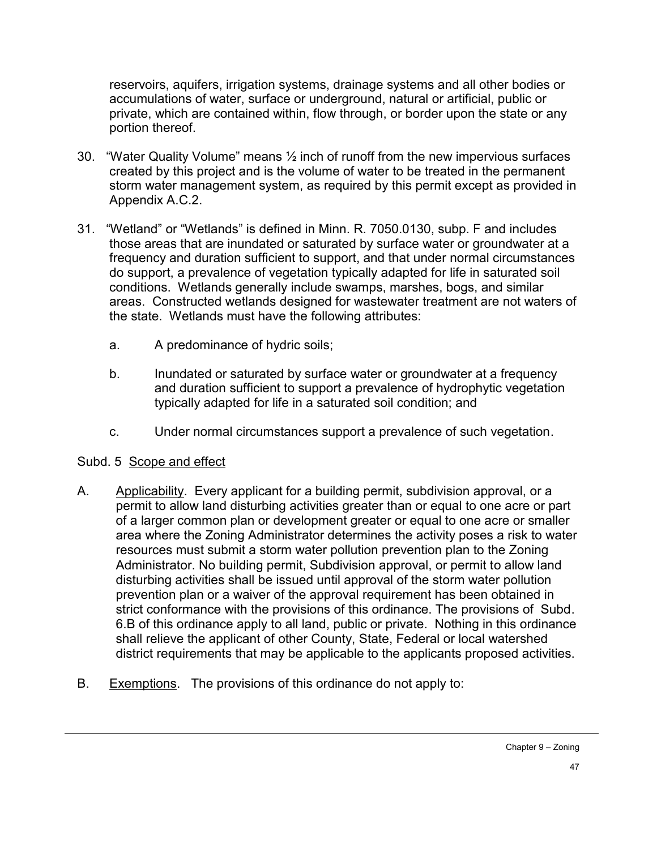reservoirs, aquifers, irrigation systems, drainage systems and all other bodies or accumulations of water, surface or underground, natural or artificial, public or private, which are contained within, flow through, or border upon the state or any portion thereof.

- 30. "Water Quality Volume" means ½ inch of runoff from the new impervious surfaces created by this project and is the volume of water to be treated in the permanent storm water management system, as required by this permit except as provided in Appendix A.C.2.
- 31. "Wetland" or "Wetlands" is defined in Minn. R. 7050.0130, subp. F and includes those areas that are inundated or saturated by surface water or groundwater at a frequency and duration sufficient to support, and that under normal circumstances do support, a prevalence of vegetation typically adapted for life in saturated soil conditions. Wetlands generally include swamps, marshes, bogs, and similar areas. Constructed wetlands designed for wastewater treatment are not waters of the state. Wetlands must have the following attributes:
	- a. A predominance of hydric soils;
	- b. Inundated or saturated by surface water or groundwater at a frequency and duration sufficient to support a prevalence of hydrophytic vegetation typically adapted for life in a saturated soil condition; and
	- c. Under normal circumstances support a prevalence of such vegetation.

#### Subd. 5 Scope and effect

- A. Applicability. Every applicant for a building permit, subdivision approval, or a permit to allow land disturbing activities greater than or equal to one acre or part of a larger common plan or development greater or equal to one acre or smaller area where the Zoning Administrator determines the activity poses a risk to water resources must submit a storm water pollution prevention plan to the Zoning Administrator. No building permit, Subdivision approval, or permit to allow land disturbing activities shall be issued until approval of the storm water pollution prevention plan or a waiver of the approval requirement has been obtained in strict conformance with the provisions of this ordinance. The provisions of Subd. 6.B of this ordinance apply to all land, public or private. Nothing in this ordinance shall relieve the applicant of other County, State, Federal or local watershed district requirements that may be applicable to the applicants proposed activities.
- B. Exemptions. The provisions of this ordinance do not apply to: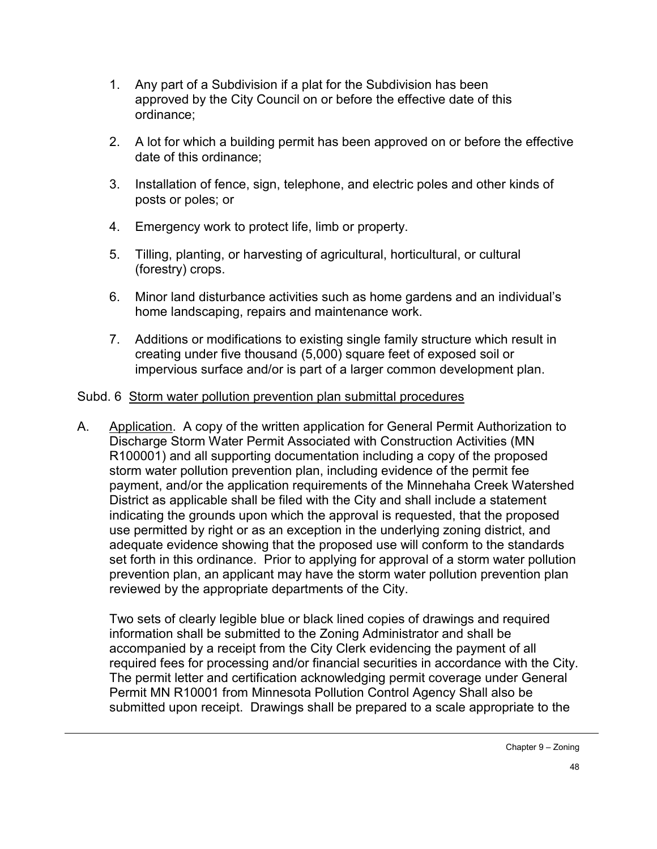- 1. Any part of a Subdivision if a plat for the Subdivision has been approved by the City Council on or before the effective date of this ordinance;
- 2. A lot for which a building permit has been approved on or before the effective date of this ordinance;
- 3. Installation of fence, sign, telephone, and electric poles and other kinds of posts or poles; or
- 4. Emergency work to protect life, limb or property.
- 5. Tilling, planting, or harvesting of agricultural, horticultural, or cultural (forestry) crops.
- 6. Minor land disturbance activities such as home gardens and an individual's home landscaping, repairs and maintenance work.
- 7. Additions or modifications to existing single family structure which result in creating under five thousand (5,000) square feet of exposed soil or impervious surface and/or is part of a larger common development plan.

### Subd. 6 Storm water pollution prevention plan submittal procedures

A. Application. A copy of the written application for General Permit Authorization to Discharge Storm Water Permit Associated with Construction Activities (MN R100001) and all supporting documentation including a copy of the proposed storm water pollution prevention plan, including evidence of the permit fee payment, and/or the application requirements of the Minnehaha Creek Watershed District as applicable shall be filed with the City and shall include a statement indicating the grounds upon which the approval is requested, that the proposed use permitted by right or as an exception in the underlying zoning district, and adequate evidence showing that the proposed use will conform to the standards set forth in this ordinance. Prior to applying for approval of a storm water pollution prevention plan, an applicant may have the storm water pollution prevention plan reviewed by the appropriate departments of the City.

Two sets of clearly legible blue or black lined copies of drawings and required information shall be submitted to the Zoning Administrator and shall be accompanied by a receipt from the City Clerk evidencing the payment of all required fees for processing and/or financial securities in accordance with the City. The permit letter and certification acknowledging permit coverage under General Permit MN R10001 from Minnesota Pollution Control Agency Shall also be submitted upon receipt. Drawings shall be prepared to a scale appropriate to the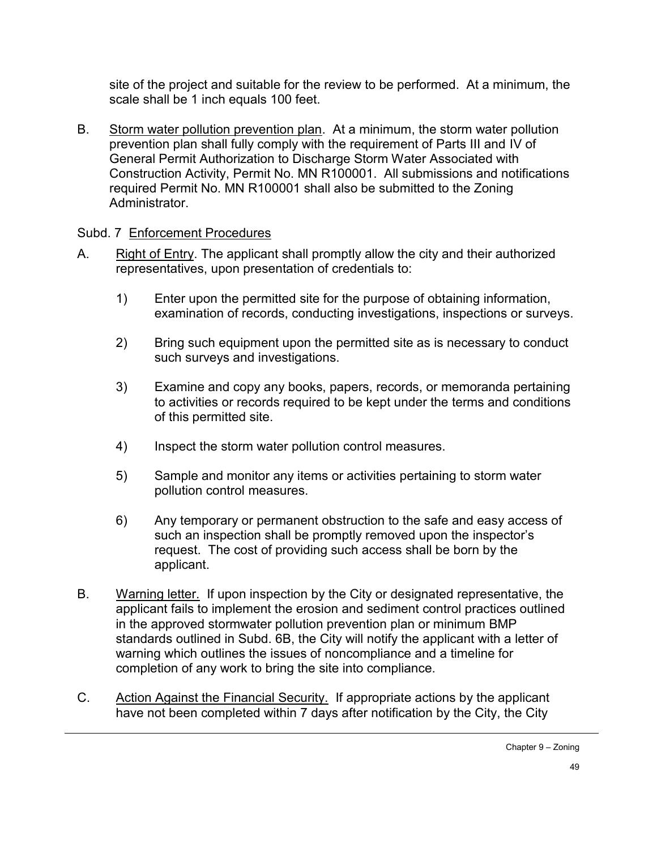site of the project and suitable for the review to be performed. At a minimum, the scale shall be 1 inch equals 100 feet.

B. Storm water pollution prevention plan. At a minimum, the storm water pollution prevention plan shall fully comply with the requirement of Parts III and IV of General Permit Authorization to Discharge Storm Water Associated with Construction Activity, Permit No. MN R100001. All submissions and notifications required Permit No. MN R100001 shall also be submitted to the Zoning **Administrator** 

### Subd. 7 Enforcement Procedures

- A. Right of Entry. The applicant shall promptly allow the city and their authorized representatives, upon presentation of credentials to:
	- 1) Enter upon the permitted site for the purpose of obtaining information, examination of records, conducting investigations, inspections or surveys.
	- 2) Bring such equipment upon the permitted site as is necessary to conduct such surveys and investigations.
	- 3) Examine and copy any books, papers, records, or memoranda pertaining to activities or records required to be kept under the terms and conditions of this permitted site.
	- 4) Inspect the storm water pollution control measures.
	- 5) Sample and monitor any items or activities pertaining to storm water pollution control measures.
	- 6) Any temporary or permanent obstruction to the safe and easy access of such an inspection shall be promptly removed upon the inspector's request. The cost of providing such access shall be born by the applicant.
- B. Warning letter. If upon inspection by the City or designated representative, the applicant fails to implement the erosion and sediment control practices outlined in the approved stormwater pollution prevention plan or minimum BMP standards outlined in Subd. 6B, the City will notify the applicant with a letter of warning which outlines the issues of noncompliance and a timeline for completion of any work to bring the site into compliance.
- C. Action Against the Financial Security. If appropriate actions by the applicant have not been completed within 7 days after notification by the City, the City